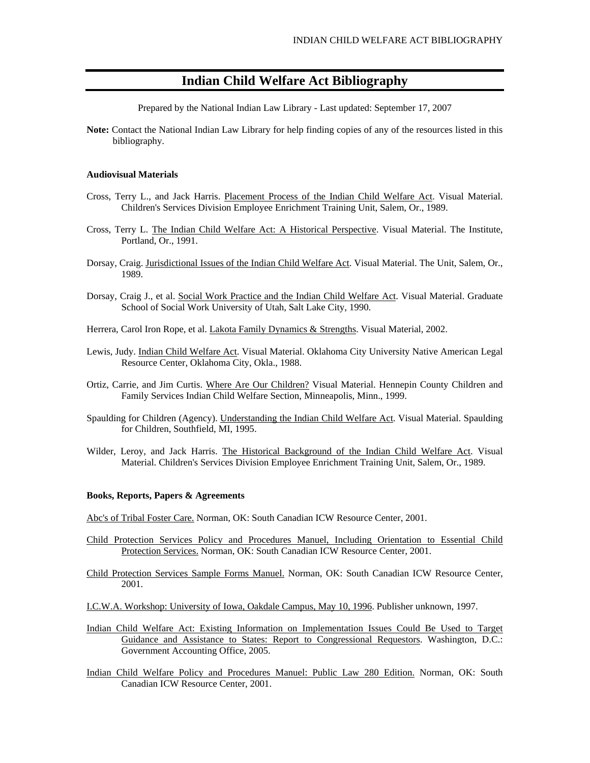# **Indian Child Welfare Act Bibliography**

Prepared by the National Indian Law Library - Last updated: September 17, 2007

**Note:** Contact the National Indian Law Library for help finding copies of any of the resources listed in this bibliography.

## **Audiovisual Materials**

- Cross, Terry L., and Jack Harris. Placement Process of the Indian Child Welfare Act. Visual Material. Children's Services Division Employee Enrichment Training Unit, Salem, Or., 1989.
- Cross, Terry L. The Indian Child Welfare Act: A Historical Perspective. Visual Material. The Institute, Portland, Or., 1991.
- Dorsay, Craig. Jurisdictional Issues of the Indian Child Welfare Act. Visual Material. The Unit, Salem, Or., 1989.
- Dorsay, Craig J., et al. Social Work Practice and the Indian Child Welfare Act. Visual Material. Graduate School of Social Work University of Utah, Salt Lake City, 1990.
- Herrera, Carol Iron Rope, et al. *Lakota Family Dynamics & Strengths*. Visual Material, 2002.
- Lewis, Judy. Indian Child Welfare Act. Visual Material. Oklahoma City University Native American Legal Resource Center, Oklahoma City, Okla., 1988.
- Ortiz, Carrie, and Jim Curtis. Where Are Our Children? Visual Material. Hennepin County Children and Family Services Indian Child Welfare Section, Minneapolis, Minn., 1999.
- Spaulding for Children (Agency). Understanding the Indian Child Welfare Act. Visual Material. Spaulding for Children, Southfield, MI, 1995.
- Wilder, Leroy, and Jack Harris. The Historical Background of the Indian Child Welfare Act. Visual Material. Children's Services Division Employee Enrichment Training Unit, Salem, Or., 1989.

#### **Books, Reports, Papers & Agreements**

Abc's of Tribal Foster Care. Norman, OK: South Canadian ICW Resource Center, 2001.

- Child Protection Services Policy and Procedures Manuel, Including Orientation to Essential Child Protection Services. Norman, OK: South Canadian ICW Resource Center, 2001.
- Child Protection Services Sample Forms Manuel. Norman, OK: South Canadian ICW Resource Center, 2001.
- I.C.W.A. Workshop: University of Iowa, Oakdale Campus, May 10, 1996. Publisher unknown, 1997.
- Indian Child Welfare Act: Existing Information on Implementation Issues Could Be Used to Target Guidance and Assistance to States: Report to Congressional Requestors. Washington, D.C.: Government Accounting Office, 2005.
- Indian Child Welfare Policy and Procedures Manuel: Public Law 280 Edition. Norman, OK: South Canadian ICW Resource Center, 2001.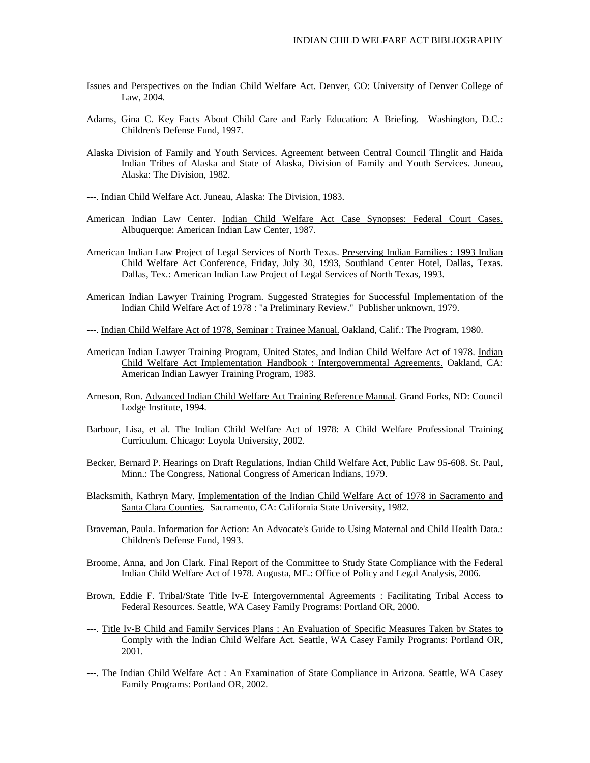- Issues and Perspectives on the Indian Child Welfare Act. Denver, CO: University of Denver College of Law, 2004.
- Adams, Gina C. Key Facts About Child Care and Early Education: A Briefing. Washington, D.C.: Children's Defense Fund, 1997.
- Alaska Division of Family and Youth Services. Agreement between Central Council Tlinglit and Haida Indian Tribes of Alaska and State of Alaska, Division of Family and Youth Services. Juneau, Alaska: The Division, 1982.
- ---. Indian Child Welfare Act. Juneau, Alaska: The Division, 1983.
- American Indian Law Center. Indian Child Welfare Act Case Synopses: Federal Court Cases. Albuquerque: American Indian Law Center, 1987.
- American Indian Law Project of Legal Services of North Texas. Preserving Indian Families : 1993 Indian Child Welfare Act Conference, Friday, July 30, 1993, Southland Center Hotel, Dallas, Texas. Dallas, Tex.: American Indian Law Project of Legal Services of North Texas, 1993.
- American Indian Lawyer Training Program. Suggested Strategies for Successful Implementation of the Indian Child Welfare Act of 1978 : "a Preliminary Review." Publisher unknown, 1979.

---. Indian Child Welfare Act of 1978, Seminar : Trainee Manual. Oakland, Calif.: The Program, 1980.

- American Indian Lawyer Training Program, United States, and Indian Child Welfare Act of 1978. Indian Child Welfare Act Implementation Handbook : Intergovernmental Agreements. Oakland, CA: American Indian Lawyer Training Program, 1983.
- Arneson, Ron. Advanced Indian Child Welfare Act Training Reference Manual. Grand Forks, ND: Council Lodge Institute, 1994.
- Barbour, Lisa, et al. The Indian Child Welfare Act of 1978: A Child Welfare Professional Training Curriculum. Chicago: Loyola University, 2002.
- Becker, Bernard P. Hearings on Draft Regulations, Indian Child Welfare Act, Public Law 95-608. St. Paul, Minn.: The Congress, National Congress of American Indians, 1979.
- Blacksmith, Kathryn Mary. Implementation of the Indian Child Welfare Act of 1978 in Sacramento and Santa Clara Counties. Sacramento, CA: California State University, 1982.
- Braveman, Paula. Information for Action: An Advocate's Guide to Using Maternal and Child Health Data.: Children's Defense Fund, 1993.
- Broome, Anna, and Jon Clark. Final Report of the Committee to Study State Compliance with the Federal Indian Child Welfare Act of 1978. Augusta, ME.: Office of Policy and Legal Analysis, 2006.
- Brown, Eddie F. Tribal/State Title Iv-E Intergovernmental Agreements : Facilitating Tribal Access to Federal Resources. Seattle, WA Casey Family Programs: Portland OR, 2000.
- ---. Title Iv-B Child and Family Services Plans : An Evaluation of Specific Measures Taken by States to Comply with the Indian Child Welfare Act. Seattle, WA Casey Family Programs: Portland OR, 2001.
- ---. The Indian Child Welfare Act : An Examination of State Compliance in Arizona. Seattle, WA Casey Family Programs: Portland OR, 2002.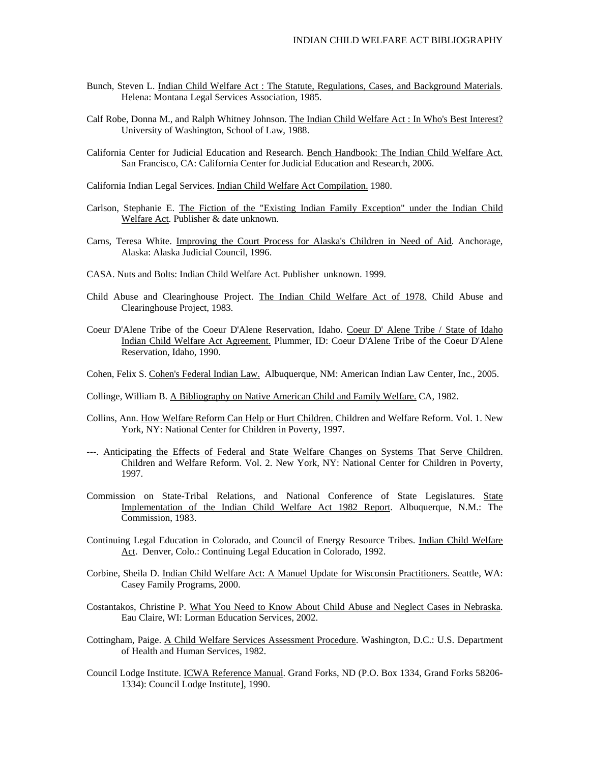- Bunch, Steven L. Indian Child Welfare Act : The Statute, Regulations, Cases, and Background Materials. Helena: Montana Legal Services Association, 1985.
- Calf Robe, Donna M., and Ralph Whitney Johnson. The Indian Child Welfare Act : In Who's Best Interest? University of Washington, School of Law, 1988.
- California Center for Judicial Education and Research. Bench Handbook: The Indian Child Welfare Act. San Francisco, CA: California Center for Judicial Education and Research, 2006.

California Indian Legal Services. Indian Child Welfare Act Compilation. 1980.

- Carlson, Stephanie E. The Fiction of the "Existing Indian Family Exception" under the Indian Child Welfare Act. Publisher & date unknown.
- Carns, Teresa White. Improving the Court Process for Alaska's Children in Need of Aid. Anchorage, Alaska: Alaska Judicial Council, 1996.
- CASA. Nuts and Bolts: Indian Child Welfare Act. Publisher unknown. 1999.
- Child Abuse and Clearinghouse Project. The Indian Child Welfare Act of 1978. Child Abuse and Clearinghouse Project, 1983.
- Coeur D'Alene Tribe of the Coeur D'Alene Reservation, Idaho. Coeur D' Alene Tribe / State of Idaho Indian Child Welfare Act Agreement. Plummer, ID: Coeur D'Alene Tribe of the Coeur D'Alene Reservation, Idaho, 1990.
- Cohen, Felix S. Cohen's Federal Indian Law. Albuquerque, NM: American Indian Law Center, Inc., 2005.
- Collinge, William B. A Bibliography on Native American Child and Family Welfare. CA, 1982.
- Collins, Ann. How Welfare Reform Can Help or Hurt Children. Children and Welfare Reform. Vol. 1. New York, NY: National Center for Children in Poverty, 1997.
- ---. Anticipating the Effects of Federal and State Welfare Changes on Systems That Serve Children. Children and Welfare Reform. Vol. 2. New York, NY: National Center for Children in Poverty, 1997.
- Commission on State-Tribal Relations, and National Conference of State Legislatures. State Implementation of the Indian Child Welfare Act 1982 Report. Albuquerque, N.M.: The Commission, 1983.
- Continuing Legal Education in Colorado, and Council of Energy Resource Tribes. Indian Child Welfare Act. Denver, Colo.: Continuing Legal Education in Colorado, 1992.
- Corbine, Sheila D. Indian Child Welfare Act: A Manuel Update for Wisconsin Practitioners. Seattle, WA: Casey Family Programs, 2000.
- Costantakos, Christine P. What You Need to Know About Child Abuse and Neglect Cases in Nebraska. Eau Claire, WI: Lorman Education Services, 2002.
- Cottingham, Paige. A Child Welfare Services Assessment Procedure. Washington, D.C.: U.S. Department of Health and Human Services, 1982.
- Council Lodge Institute. ICWA Reference Manual. Grand Forks, ND (P.O. Box 1334, Grand Forks 58206- 1334): Council Lodge Institute], 1990.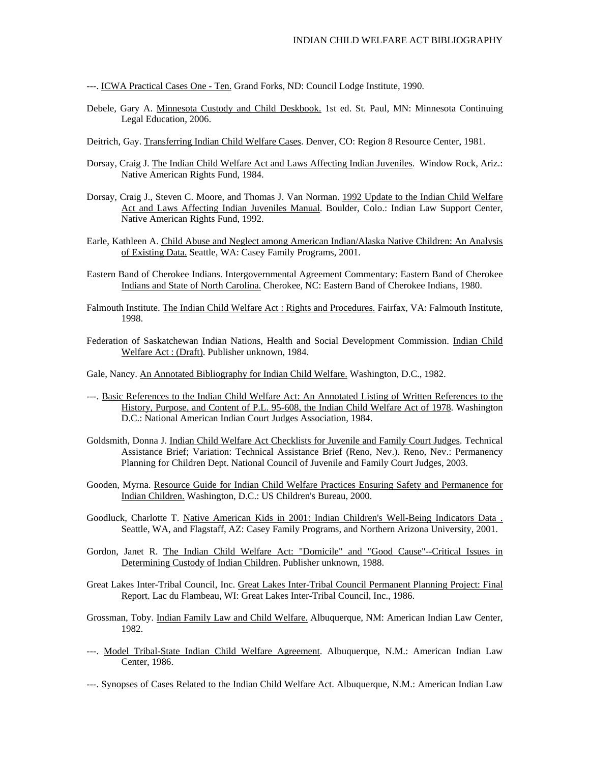---. ICWA Practical Cases One - Ten. Grand Forks, ND: Council Lodge Institute, 1990.

- Debele, Gary A. Minnesota Custody and Child Deskbook. 1st ed. St. Paul, MN: Minnesota Continuing Legal Education, 2006.
- Deitrich, Gay. Transferring Indian Child Welfare Cases. Denver, CO: Region 8 Resource Center, 1981.
- Dorsay, Craig J. The Indian Child Welfare Act and Laws Affecting Indian Juveniles. Window Rock, Ariz.: Native American Rights Fund, 1984.
- Dorsay, Craig J., Steven C. Moore, and Thomas J. Van Norman. 1992 Update to the Indian Child Welfare Act and Laws Affecting Indian Juveniles Manual. Boulder, Colo.: Indian Law Support Center, Native American Rights Fund, 1992.
- Earle, Kathleen A. Child Abuse and Neglect among American Indian/Alaska Native Children: An Analysis of Existing Data. Seattle, WA: Casey Family Programs, 2001.
- Eastern Band of Cherokee Indians. Intergovernmental Agreement Commentary: Eastern Band of Cherokee Indians and State of North Carolina. Cherokee, NC: Eastern Band of Cherokee Indians, 1980.
- Falmouth Institute. The Indian Child Welfare Act : Rights and Procedures. Fairfax, VA: Falmouth Institute, 1998.
- Federation of Saskatchewan Indian Nations, Health and Social Development Commission. Indian Child Welfare Act : (Draft). Publisher unknown, 1984.
- Gale, Nancy. An Annotated Bibliography for Indian Child Welfare. Washington, D.C., 1982.
- ---. Basic References to the Indian Child Welfare Act: An Annotated Listing of Written References to the History, Purpose, and Content of P.L. 95-608, the Indian Child Welfare Act of 1978. Washington D.C.: National American Indian Court Judges Association, 1984.
- Goldsmith, Donna J. Indian Child Welfare Act Checklists for Juvenile and Family Court Judges. Technical Assistance Brief; Variation: Technical Assistance Brief (Reno, Nev.). Reno, Nev.: Permanency Planning for Children Dept. National Council of Juvenile and Family Court Judges, 2003.
- Gooden, Myrna. Resource Guide for Indian Child Welfare Practices Ensuring Safety and Permanence for Indian Children. Washington, D.C.: US Children's Bureau, 2000.
- Goodluck, Charlotte T. Native American Kids in 2001: Indian Children's Well-Being Indicators Data . Seattle, WA, and Flagstaff, AZ: Casey Family Programs, and Northern Arizona University, 2001.
- Gordon, Janet R. The Indian Child Welfare Act: "Domicile" and "Good Cause"--Critical Issues in Determining Custody of Indian Children. Publisher unknown, 1988.
- Great Lakes Inter-Tribal Council, Inc. Great Lakes Inter-Tribal Council Permanent Planning Project: Final Report. Lac du Flambeau, WI: Great Lakes Inter-Tribal Council, Inc., 1986.
- Grossman, Toby. Indian Family Law and Child Welfare. Albuquerque, NM: American Indian Law Center, 1982.
- ---. Model Tribal-State Indian Child Welfare Agreement. Albuquerque, N.M.: American Indian Law Center, 1986.
- ---. Synopses of Cases Related to the Indian Child Welfare Act. Albuquerque, N.M.: American Indian Law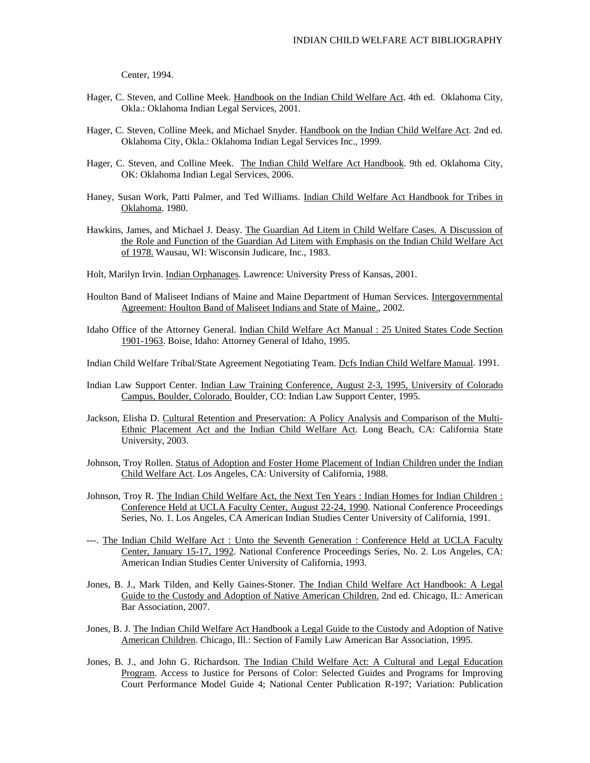Center, 1994.

- Hager, C. Steven, and Colline Meek. Handbook on the Indian Child Welfare Act. 4th ed. Oklahoma City, Okla.: Oklahoma Indian Legal Services, 2001.
- Hager, C. Steven, Colline Meek, and Michael Snyder. Handbook on the Indian Child Welfare Act. 2nd ed. Oklahoma City, Okla.: Oklahoma Indian Legal Services Inc., 1999.
- Hager, C. Steven, and Colline Meek. The Indian Child Welfare Act Handbook. 9th ed. Oklahoma City, OK: Oklahoma Indian Legal Services, 2006.
- Haney, Susan Work, Patti Palmer, and Ted Williams. Indian Child Welfare Act Handbook for Tribes in Oklahoma. 1980.
- Hawkins, James, and Michael J. Deasy. The Guardian Ad Litem in Child Welfare Cases. A Discussion of the Role and Function of the Guardian Ad Litem with Emphasis on the Indian Child Welfare Act of 1978. Wausau, WI: Wisconsin Judicare, Inc., 1983.
- Holt, Marilyn Irvin. Indian Orphanages. Lawrence: University Press of Kansas, 2001.
- Houlton Band of Maliseet Indians of Maine and Maine Department of Human Services. Intergovernmental Agreement: Houlton Band of Maliseet Indians and State of Maine., 2002.
- Idaho Office of the Attorney General. Indian Child Welfare Act Manual : 25 United States Code Section 1901-1963. Boise, Idaho: Attorney General of Idaho, 1995.
- Indian Child Welfare Tribal/State Agreement Negotiating Team. Dcfs Indian Child Welfare Manual. 1991.
- Indian Law Support Center. Indian Law Training Conference, August 2-3, 1995, University of Colorado Campus, Boulder, Colorado. Boulder, CO: Indian Law Support Center, 1995.
- Jackson, Elisha D. Cultural Retention and Preservation: A Policy Analysis and Comparison of the Multi-Ethnic Placement Act and the Indian Child Welfare Act. Long Beach, CA: California State University, 2003.
- Johnson, Troy Rollen. Status of Adoption and Foster Home Placement of Indian Children under the Indian Child Welfare Act. Los Angeles, CA: University of California, 1988.
- Johnson, Troy R. The Indian Child Welfare Act, the Next Ten Years : Indian Homes for Indian Children : Conference Held at UCLA Faculty Center, August 22-24, 1990. National Conference Proceedings Series, No. 1. Los Angeles, CA American Indian Studies Center University of California, 1991.
- ---. The Indian Child Welfare Act : Unto the Seventh Generation : Conference Held at UCLA Faculty Center, January 15-17, 1992. National Conference Proceedings Series, No. 2. Los Angeles, CA: American Indian Studies Center University of California, 1993.
- Jones, B. J., Mark Tilden, and Kelly Gaines-Stoner. The Indian Child Welfare Act Handbook: A Legal Guide to the Custody and Adoption of Native American Children. 2nd ed. Chicago, IL: American Bar Association, 2007.
- Jones, B. J. The Indian Child Welfare Act Handbook a Legal Guide to the Custody and Adoption of Native American Children. Chicago, Ill.: Section of Family Law American Bar Association, 1995.
- Jones, B. J., and John G. Richardson. The Indian Child Welfare Act: A Cultural and Legal Education Program. Access to Justice for Persons of Color: Selected Guides and Programs for Improving Court Performance Model Guide 4; National Center Publication R-197; Variation: Publication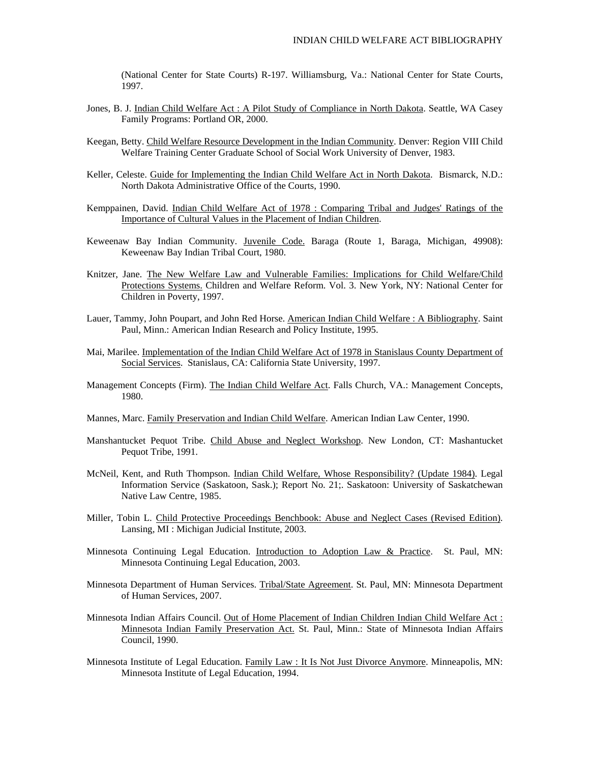(National Center for State Courts) R-197. Williamsburg, Va.: National Center for State Courts, 1997.

- Jones, B. J. Indian Child Welfare Act : A Pilot Study of Compliance in North Dakota. Seattle, WA Casey Family Programs: Portland OR, 2000.
- Keegan, Betty. Child Welfare Resource Development in the Indian Community. Denver: Region VIII Child Welfare Training Center Graduate School of Social Work University of Denver, 1983.
- Keller, Celeste. Guide for Implementing the Indian Child Welfare Act in North Dakota. Bismarck, N.D.: North Dakota Administrative Office of the Courts, 1990.
- Kemppainen, David. Indian Child Welfare Act of 1978 : Comparing Tribal and Judges' Ratings of the Importance of Cultural Values in the Placement of Indian Children.
- Keweenaw Bay Indian Community. Juvenile Code. Baraga (Route 1, Baraga, Michigan, 49908): Keweenaw Bay Indian Tribal Court, 1980.
- Knitzer, Jane. The New Welfare Law and Vulnerable Families: Implications for Child Welfare/Child Protections Systems. Children and Welfare Reform. Vol. 3. New York, NY: National Center for Children in Poverty, 1997.
- Lauer, Tammy, John Poupart, and John Red Horse. American Indian Child Welfare : A Bibliography. Saint Paul, Minn.: American Indian Research and Policy Institute, 1995.
- Mai, Marilee. Implementation of the Indian Child Welfare Act of 1978 in Stanislaus County Department of Social Services. Stanislaus, CA: California State University, 1997.
- Management Concepts (Firm). The Indian Child Welfare Act. Falls Church, VA.: Management Concepts, 1980.
- Mannes, Marc. Family Preservation and Indian Child Welfare. American Indian Law Center, 1990.
- Manshantucket Pequot Tribe. Child Abuse and Neglect Workshop. New London, CT: Mashantucket Pequot Tribe, 1991.
- McNeil, Kent, and Ruth Thompson. Indian Child Welfare, Whose Responsibility? (Update 1984). Legal Information Service (Saskatoon, Sask.); Report No. 21;. Saskatoon: University of Saskatchewan Native Law Centre, 1985.
- Miller, Tobin L. Child Protective Proceedings Benchbook: Abuse and Neglect Cases (Revised Edition). Lansing, MI : Michigan Judicial Institute, 2003.
- Minnesota Continuing Legal Education. Introduction to Adoption Law & Practice. St. Paul, MN: Minnesota Continuing Legal Education, 2003.
- Minnesota Department of Human Services. Tribal/State Agreement. St. Paul, MN: Minnesota Department of Human Services, 2007.
- Minnesota Indian Affairs Council. Out of Home Placement of Indian Children Indian Child Welfare Act : Minnesota Indian Family Preservation Act. St. Paul, Minn.: State of Minnesota Indian Affairs Council, 1990.
- Minnesota Institute of Legal Education. Family Law : It Is Not Just Divorce Anymore. Minneapolis, MN: Minnesota Institute of Legal Education, 1994.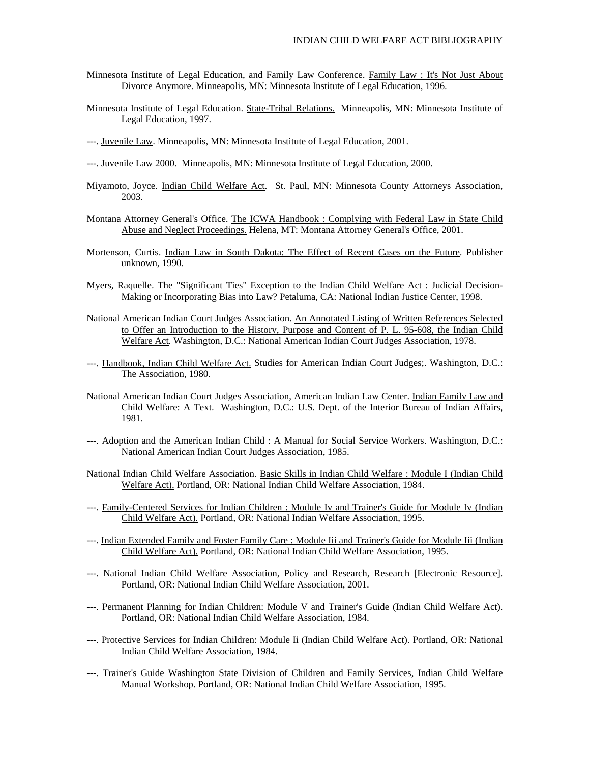- Minnesota Institute of Legal Education, and Family Law Conference. Family Law : It's Not Just About Divorce Anymore. Minneapolis, MN: Minnesota Institute of Legal Education, 1996.
- Minnesota Institute of Legal Education. State-Tribal Relations. Minneapolis, MN: Minnesota Institute of Legal Education, 1997.
- ---. Juvenile Law. Minneapolis, MN: Minnesota Institute of Legal Education, 2001.
- ---. Juvenile Law 2000. Minneapolis, MN: Minnesota Institute of Legal Education, 2000.
- Miyamoto, Joyce. Indian Child Welfare Act. St. Paul, MN: Minnesota County Attorneys Association, 2003.
- Montana Attorney General's Office. The ICWA Handbook : Complying with Federal Law in State Child Abuse and Neglect Proceedings. Helena, MT: Montana Attorney General's Office, 2001.
- Mortenson, Curtis. Indian Law in South Dakota: The Effect of Recent Cases on the Future. Publisher unknown, 1990.
- Myers, Raquelle. The "Significant Ties" Exception to the Indian Child Welfare Act : Judicial Decision-Making or Incorporating Bias into Law? Petaluma, CA: National Indian Justice Center, 1998.
- National American Indian Court Judges Association. An Annotated Listing of Written References Selected to Offer an Introduction to the History, Purpose and Content of P. L. 95-608, the Indian Child Welfare Act. Washington, D.C.: National American Indian Court Judges Association, 1978.
- ---. Handbook, Indian Child Welfare Act. Studies for American Indian Court Judges;. Washington, D.C.: The Association, 1980.
- National American Indian Court Judges Association, American Indian Law Center. Indian Family Law and Child Welfare: A Text. Washington, D.C.: U.S. Dept. of the Interior Bureau of Indian Affairs, 1981.
- ---. Adoption and the American Indian Child : A Manual for Social Service Workers. Washington, D.C.: National American Indian Court Judges Association, 1985.
- National Indian Child Welfare Association. Basic Skills in Indian Child Welfare : Module I (Indian Child Welfare Act). Portland, OR: National Indian Child Welfare Association, 1984.
- ---. Family-Centered Services for Indian Children : Module Iv and Trainer's Guide for Module Iv (Indian Child Welfare Act). Portland, OR: National Indian Welfare Association, 1995.
- ---. Indian Extended Family and Foster Family Care : Module Iii and Trainer's Guide for Module Iii (Indian Child Welfare Act). Portland, OR: National Indian Child Welfare Association, 1995.
- ---. National Indian Child Welfare Association, Policy and Research, Research [Electronic Resource]. Portland, OR: National Indian Child Welfare Association, 2001.
- ---. Permanent Planning for Indian Children: Module V and Trainer's Guide (Indian Child Welfare Act). Portland, OR: National Indian Child Welfare Association, 1984.
- ---. Protective Services for Indian Children: Module Ii (Indian Child Welfare Act). Portland, OR: National Indian Child Welfare Association, 1984.
- ---. Trainer's Guide Washington State Division of Children and Family Services, Indian Child Welfare Manual Workshop. Portland, OR: National Indian Child Welfare Association, 1995.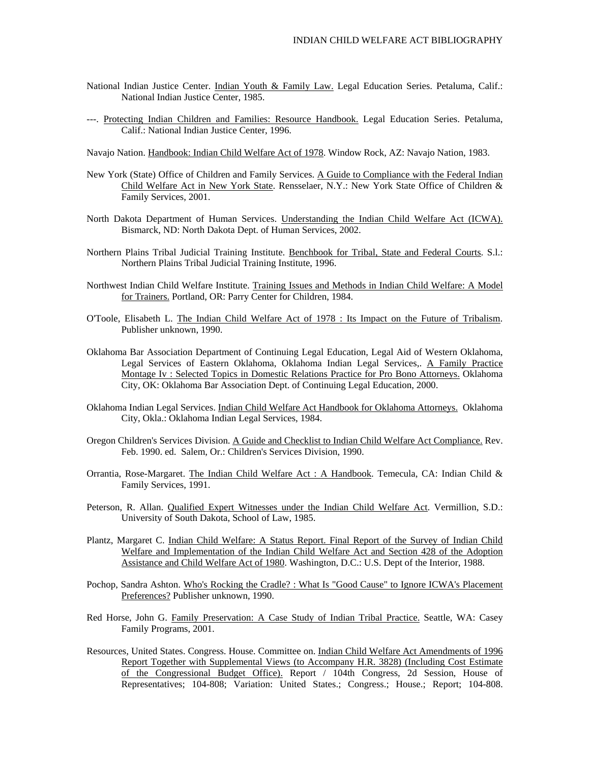- National Indian Justice Center. Indian Youth & Family Law. Legal Education Series. Petaluma, Calif.: National Indian Justice Center, 1985.
- ---. Protecting Indian Children and Families: Resource Handbook. Legal Education Series. Petaluma, Calif.: National Indian Justice Center, 1996.

Navajo Nation. Handbook: Indian Child Welfare Act of 1978. Window Rock, AZ: Navajo Nation, 1983.

- New York (State) Office of Children and Family Services. A Guide to Compliance with the Federal Indian Child Welfare Act in New York State. Rensselaer, N.Y.: New York State Office of Children & Family Services, 2001.
- North Dakota Department of Human Services. Understanding the Indian Child Welfare Act (ICWA). Bismarck, ND: North Dakota Dept. of Human Services, 2002.
- Northern Plains Tribal Judicial Training Institute. Benchbook for Tribal, State and Federal Courts. S.l.: Northern Plains Tribal Judicial Training Institute, 1996.
- Northwest Indian Child Welfare Institute. Training Issues and Methods in Indian Child Welfare: A Model for Trainers. Portland, OR: Parry Center for Children, 1984.
- O'Toole, Elisabeth L. The Indian Child Welfare Act of 1978 : Its Impact on the Future of Tribalism. Publisher unknown, 1990.
- Oklahoma Bar Association Department of Continuing Legal Education, Legal Aid of Western Oklahoma, Legal Services of Eastern Oklahoma, Oklahoma Indian Legal Services,. A Family Practice Montage Iv : Selected Topics in Domestic Relations Practice for Pro Bono Attorneys. Oklahoma City, OK: Oklahoma Bar Association Dept. of Continuing Legal Education, 2000.
- Oklahoma Indian Legal Services. Indian Child Welfare Act Handbook for Oklahoma Attorneys. Oklahoma City, Okla.: Oklahoma Indian Legal Services, 1984.
- Oregon Children's Services Division. A Guide and Checklist to Indian Child Welfare Act Compliance. Rev. Feb. 1990. ed. Salem, Or.: Children's Services Division, 1990.
- Orrantia, Rose-Margaret. The Indian Child Welfare Act : A Handbook. Temecula, CA: Indian Child & Family Services, 1991.
- Peterson, R. Allan. Qualified Expert Witnesses under the Indian Child Welfare Act. Vermillion, S.D.: University of South Dakota, School of Law, 1985.
- Plantz, Margaret C. Indian Child Welfare: A Status Report. Final Report of the Survey of Indian Child Welfare and Implementation of the Indian Child Welfare Act and Section 428 of the Adoption Assistance and Child Welfare Act of 1980. Washington, D.C.: U.S. Dept of the Interior, 1988.
- Pochop, Sandra Ashton. Who's Rocking the Cradle? : What Is "Good Cause" to Ignore ICWA's Placement Preferences? Publisher unknown, 1990.
- Red Horse, John G. Family Preservation: A Case Study of Indian Tribal Practice. Seattle, WA: Casey Family Programs, 2001.
- Resources, United States. Congress. House. Committee on. Indian Child Welfare Act Amendments of 1996 Report Together with Supplemental Views (to Accompany H.R. 3828) (Including Cost Estimate of the Congressional Budget Office). Report / 104th Congress, 2d Session, House of Representatives; 104-808; Variation: United States.; Congress.; House.; Report; 104-808.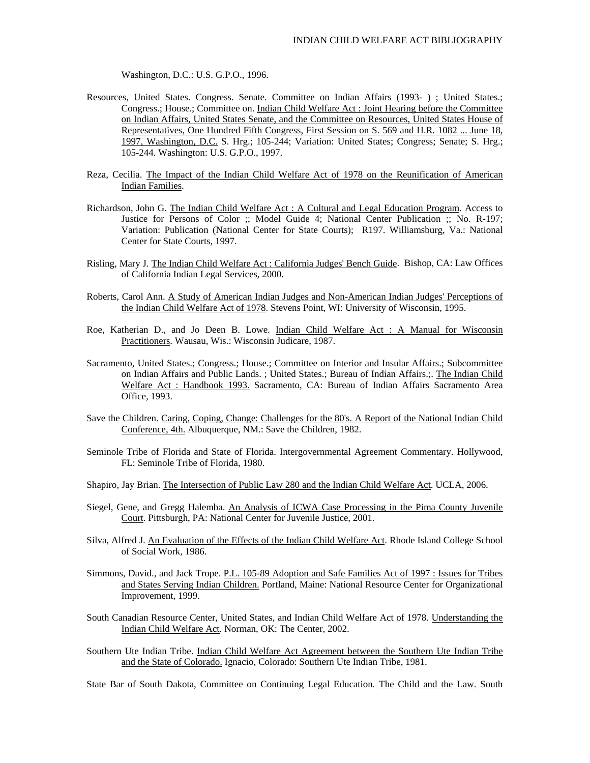Washington, D.C.: U.S. G.P.O., 1996.

- Resources, United States. Congress. Senate. Committee on Indian Affairs (1993- ) ; United States.; Congress.; House.; Committee on. Indian Child Welfare Act : Joint Hearing before the Committee on Indian Affairs, United States Senate, and the Committee on Resources, United States House of Representatives, One Hundred Fifth Congress, First Session on S. 569 and H.R. 1082 ... June 18, 1997, Washington, D.C. S. Hrg.; 105-244; Variation: United States; Congress; Senate; S. Hrg.; 105-244. Washington: U.S. G.P.O., 1997.
- Reza, Cecilia. The Impact of the Indian Child Welfare Act of 1978 on the Reunification of American Indian Families.
- Richardson, John G. The Indian Child Welfare Act : A Cultural and Legal Education Program. Access to Justice for Persons of Color ;; Model Guide 4; National Center Publication ;; No. R-197; Variation: Publication (National Center for State Courts); R197. Williamsburg, Va.: National Center for State Courts, 1997.
- Risling, Mary J. The Indian Child Welfare Act : California Judges' Bench Guide. Bishop, CA: Law Offices of California Indian Legal Services, 2000.
- Roberts, Carol Ann. A Study of American Indian Judges and Non-American Indian Judges' Perceptions of the Indian Child Welfare Act of 1978. Stevens Point, WI: University of Wisconsin, 1995.
- Roe, Katherian D., and Jo Deen B. Lowe. Indian Child Welfare Act : A Manual for Wisconsin Practitioners. Wausau, Wis.: Wisconsin Judicare, 1987.
- Sacramento, United States.; Congress.; House.; Committee on Interior and Insular Affairs.; Subcommittee on Indian Affairs and Public Lands. ; United States.; Bureau of Indian Affairs.;. The Indian Child Welfare Act : Handbook 1993. Sacramento, CA: Bureau of Indian Affairs Sacramento Area Office, 1993.
- Save the Children. Caring, Coping, Change: Challenges for the 80's. A Report of the National Indian Child Conference, 4th. Albuquerque, NM.: Save the Children, 1982.
- Seminole Tribe of Florida and State of Florida. Intergovernmental Agreement Commentary. Hollywood, FL: Seminole Tribe of Florida, 1980.
- Shapiro, Jay Brian. The Intersection of Public Law 280 and the Indian Child Welfare Act. UCLA, 2006.
- Siegel, Gene, and Gregg Halemba. An Analysis of ICWA Case Processing in the Pima County Juvenile Court. Pittsburgh, PA: National Center for Juvenile Justice, 2001.
- Silva, Alfred J. An Evaluation of the Effects of the Indian Child Welfare Act. Rhode Island College School of Social Work, 1986.
- Simmons, David., and Jack Trope. P.L. 105-89 Adoption and Safe Families Act of 1997 : Issues for Tribes and States Serving Indian Children. Portland, Maine: National Resource Center for Organizational Improvement, 1999.
- South Canadian Resource Center, United States, and Indian Child Welfare Act of 1978. Understanding the Indian Child Welfare Act. Norman, OK: The Center, 2002.
- Southern Ute Indian Tribe. Indian Child Welfare Act Agreement between the Southern Ute Indian Tribe and the State of Colorado. Ignacio, Colorado: Southern Ute Indian Tribe, 1981.

State Bar of South Dakota, Committee on Continuing Legal Education. The Child and the Law. South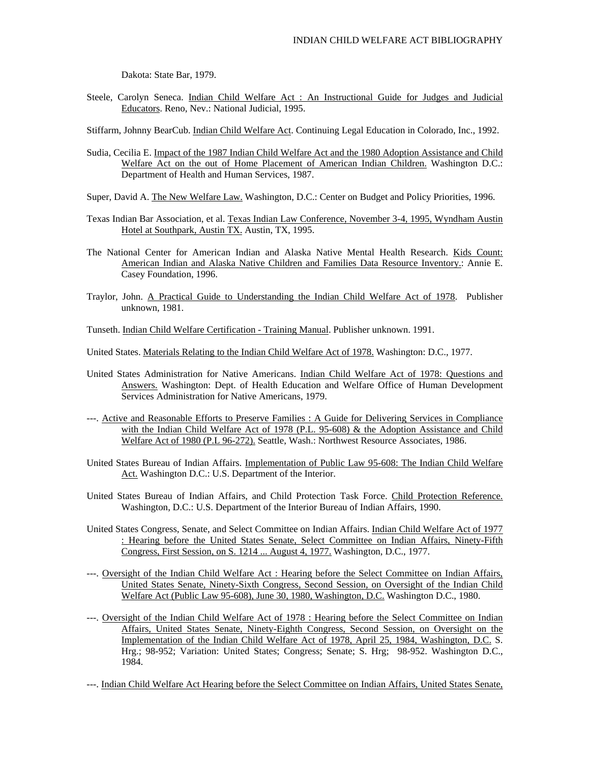Dakota: State Bar, 1979.

Steele, Carolyn Seneca. Indian Child Welfare Act : An Instructional Guide for Judges and Judicial Educators. Reno, Nev.: National Judicial, 1995.

Stiffarm, Johnny BearCub. Indian Child Welfare Act. Continuing Legal Education in Colorado, Inc., 1992.

- Sudia, Cecilia E. Impact of the 1987 Indian Child Welfare Act and the 1980 Adoption Assistance and Child Welfare Act on the out of Home Placement of American Indian Children. Washington D.C.: Department of Health and Human Services, 1987.
- Super, David A. The New Welfare Law. Washington, D.C.: Center on Budget and Policy Priorities, 1996.
- Texas Indian Bar Association, et al. Texas Indian Law Conference, November 3-4, 1995, Wyndham Austin Hotel at Southpark, Austin TX. Austin, TX, 1995.
- The National Center for American Indian and Alaska Native Mental Health Research. Kids Count: American Indian and Alaska Native Children and Families Data Resource Inventory.: Annie E. Casey Foundation, 1996.
- Traylor, John. A Practical Guide to Understanding the Indian Child Welfare Act of 1978. Publisher unknown, 1981.

Tunseth. Indian Child Welfare Certification - Training Manual. Publisher unknown. 1991.

- United States. Materials Relating to the Indian Child Welfare Act of 1978. Washington: D.C., 1977.
- United States Administration for Native Americans. Indian Child Welfare Act of 1978: Questions and Answers. Washington: Dept. of Health Education and Welfare Office of Human Development Services Administration for Native Americans, 1979.
- ---. Active and Reasonable Efforts to Preserve Families : A Guide for Delivering Services in Compliance with the Indian Child Welfare Act of 1978 (P.L. 95-608) & the Adoption Assistance and Child Welfare Act of 1980 (P.L 96-272). Seattle, Wash.: Northwest Resource Associates, 1986.
- United States Bureau of Indian Affairs. Implementation of Public Law 95-608: The Indian Child Welfare Act. Washington D.C.: U.S. Department of the Interior.
- United States Bureau of Indian Affairs, and Child Protection Task Force. Child Protection Reference. Washington, D.C.: U.S. Department of the Interior Bureau of Indian Affairs, 1990.
- United States Congress, Senate, and Select Committee on Indian Affairs. Indian Child Welfare Act of 1977 : Hearing before the United States Senate, Select Committee on Indian Affairs, Ninety-Fifth Congress, First Session, on S. 1214 ... August 4, 1977. Washington, D.C., 1977.
- ---. Oversight of the Indian Child Welfare Act : Hearing before the Select Committee on Indian Affairs, United States Senate, Ninety-Sixth Congress, Second Session, on Oversight of the Indian Child Welfare Act (Public Law 95-608), June 30, 1980, Washington, D.C. Washington D.C., 1980.
- ---. Oversight of the Indian Child Welfare Act of 1978 : Hearing before the Select Committee on Indian Affairs, United States Senate, Ninety-Eighth Congress, Second Session, on Oversight on the Implementation of the Indian Child Welfare Act of 1978, April 25, 1984, Washington, D.C. S. Hrg.; 98-952; Variation: United States; Congress; Senate; S. Hrg; 98-952. Washington D.C., 1984.
- ---. Indian Child Welfare Act Hearing before the Select Committee on Indian Affairs, United States Senate,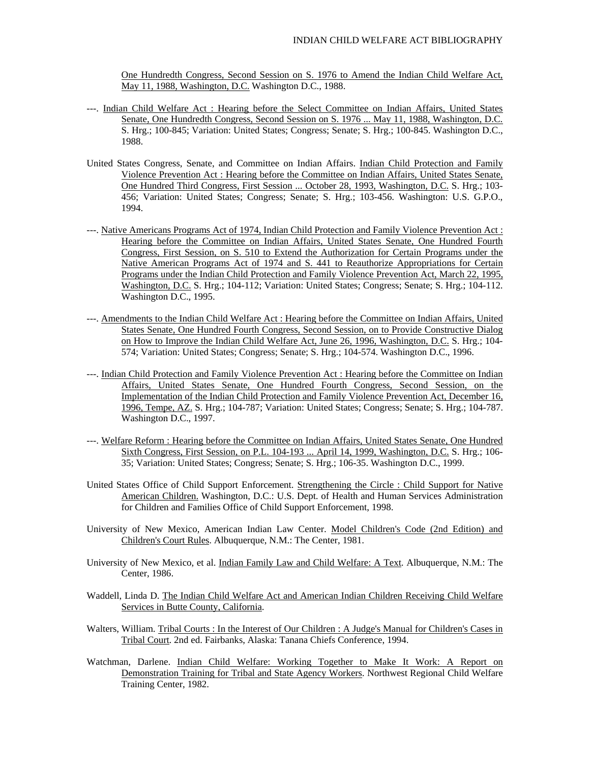One Hundredth Congress, Second Session on S. 1976 to Amend the Indian Child Welfare Act, May 11, 1988, Washington, D.C. Washington D.C., 1988.

- ---. Indian Child Welfare Act : Hearing before the Select Committee on Indian Affairs, United States Senate, One Hundredth Congress, Second Session on S. 1976 ... May 11, 1988, Washington, D.C. S. Hrg.; 100-845; Variation: United States; Congress; Senate; S. Hrg.; 100-845. Washington D.C., 1988.
- United States Congress, Senate, and Committee on Indian Affairs. Indian Child Protection and Family Violence Prevention Act : Hearing before the Committee on Indian Affairs, United States Senate, One Hundred Third Congress, First Session ... October 28, 1993, Washington, D.C. S. Hrg.; 103- 456; Variation: United States; Congress; Senate; S. Hrg.; 103-456. Washington: U.S. G.P.O., 1994.
- ---. Native Americans Programs Act of 1974, Indian Child Protection and Family Violence Prevention Act : Hearing before the Committee on Indian Affairs, United States Senate, One Hundred Fourth Congress, First Session, on S. 510 to Extend the Authorization for Certain Programs under the Native American Programs Act of 1974 and S. 441 to Reauthorize Appropriations for Certain Programs under the Indian Child Protection and Family Violence Prevention Act, March 22, 1995, Washington, D.C. S. Hrg.; 104-112; Variation: United States; Congress; Senate; S. Hrg.; 104-112. Washington D.C., 1995.
- ---. Amendments to the Indian Child Welfare Act : Hearing before the Committee on Indian Affairs, United States Senate, One Hundred Fourth Congress, Second Session, on to Provide Constructive Dialog on How to Improve the Indian Child Welfare Act, June 26, 1996, Washington, D.C. S. Hrg.; 104- 574; Variation: United States; Congress; Senate; S. Hrg.; 104-574. Washington D.C., 1996.
- ---. Indian Child Protection and Family Violence Prevention Act : Hearing before the Committee on Indian Affairs, United States Senate, One Hundred Fourth Congress, Second Session, on the Implementation of the Indian Child Protection and Family Violence Prevention Act, December 16, 1996, Tempe, AZ. S. Hrg.; 104-787; Variation: United States; Congress; Senate; S. Hrg.; 104-787. Washington D.C., 1997.
- ---. Welfare Reform : Hearing before the Committee on Indian Affairs, United States Senate, One Hundred Sixth Congress, First Session, on P.L. 104-193 ... April 14, 1999, Washington, D.C. S. Hrg.; 106- 35; Variation: United States; Congress; Senate; S. Hrg.; 106-35. Washington D.C., 1999.
- United States Office of Child Support Enforcement. Strengthening the Circle : Child Support for Native American Children. Washington, D.C.: U.S. Dept. of Health and Human Services Administration for Children and Families Office of Child Support Enforcement, 1998.
- University of New Mexico, American Indian Law Center. Model Children's Code (2nd Edition) and Children's Court Rules. Albuquerque, N.M.: The Center, 1981.
- University of New Mexico, et al. Indian Family Law and Child Welfare: A Text. Albuquerque, N.M.: The Center, 1986.
- Waddell, Linda D. The Indian Child Welfare Act and American Indian Children Receiving Child Welfare Services in Butte County, California.
- Walters, William. Tribal Courts : In the Interest of Our Children : A Judge's Manual for Children's Cases in Tribal Court. 2nd ed. Fairbanks, Alaska: Tanana Chiefs Conference, 1994.
- Watchman, Darlene. Indian Child Welfare: Working Together to Make It Work: A Report on Demonstration Training for Tribal and State Agency Workers. Northwest Regional Child Welfare Training Center, 1982.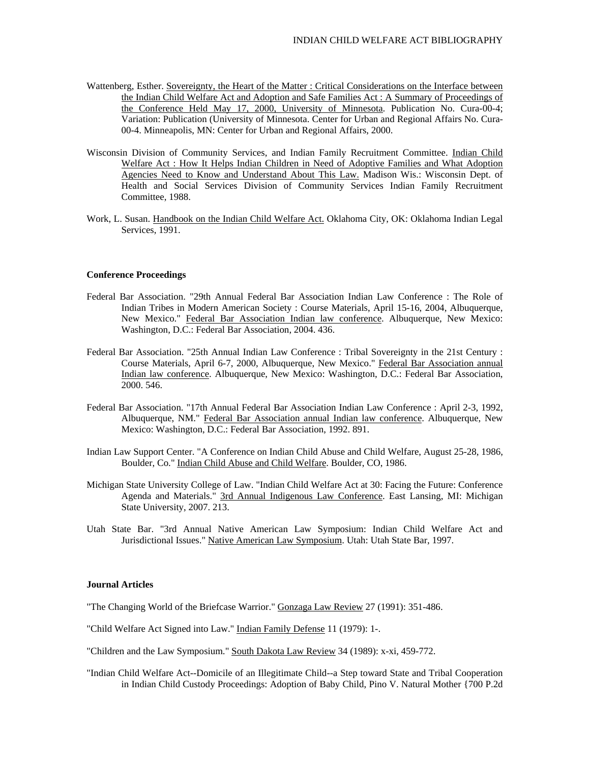- Wattenberg, Esther. Sovereignty, the Heart of the Matter : Critical Considerations on the Interface between the Indian Child Welfare Act and Adoption and Safe Families Act : A Summary of Proceedings of the Conference Held May 17, 2000, University of Minnesota. Publication No. Cura-00-4; Variation: Publication (University of Minnesota. Center for Urban and Regional Affairs No. Cura-00-4. Minneapolis, MN: Center for Urban and Regional Affairs, 2000.
- Wisconsin Division of Community Services, and Indian Family Recruitment Committee. Indian Child Welfare Act : How It Helps Indian Children in Need of Adoptive Families and What Adoption Agencies Need to Know and Understand About This Law. Madison Wis.: Wisconsin Dept. of Health and Social Services Division of Community Services Indian Family Recruitment Committee, 1988.
- Work, L. Susan. Handbook on the Indian Child Welfare Act. Oklahoma City, OK: Oklahoma Indian Legal Services, 1991.

#### **Conference Proceedings**

- Federal Bar Association. "29th Annual Federal Bar Association Indian Law Conference : The Role of Indian Tribes in Modern American Society : Course Materials, April 15-16, 2004, Albuquerque, New Mexico." Federal Bar Association Indian law conference. Albuquerque, New Mexico: Washington, D.C.: Federal Bar Association, 2004. 436.
- Federal Bar Association. "25th Annual Indian Law Conference : Tribal Sovereignty in the 21st Century : Course Materials, April 6-7, 2000, Albuquerque, New Mexico." Federal Bar Association annual Indian law conference. Albuquerque, New Mexico: Washington, D.C.: Federal Bar Association, 2000. 546.
- Federal Bar Association. "17th Annual Federal Bar Association Indian Law Conference : April 2-3, 1992, Albuquerque, NM." Federal Bar Association annual Indian law conference. Albuquerque, New Mexico: Washington, D.C.: Federal Bar Association, 1992. 891.
- Indian Law Support Center. "A Conference on Indian Child Abuse and Child Welfare, August 25-28, 1986, Boulder, Co." Indian Child Abuse and Child Welfare. Boulder, CO, 1986.
- Michigan State University College of Law. "Indian Child Welfare Act at 30: Facing the Future: Conference Agenda and Materials." 3rd Annual Indigenous Law Conference. East Lansing, MI: Michigan State University, 2007. 213.
- Utah State Bar. "3rd Annual Native American Law Symposium: Indian Child Welfare Act and Jurisdictional Issues." Native American Law Symposium. Utah: Utah State Bar, 1997.

### **Journal Articles**

"The Changing World of the Briefcase Warrior." Gonzaga Law Review 27 (1991): 351-486.

- "Child Welfare Act Signed into Law." Indian Family Defense 11 (1979): 1-.
- "Children and the Law Symposium." South Dakota Law Review 34 (1989): x-xi, 459-772.
- "Indian Child Welfare Act--Domicile of an Illegitimate Child--a Step toward State and Tribal Cooperation in Indian Child Custody Proceedings: Adoption of Baby Child, Pino V. Natural Mother {700 P.2d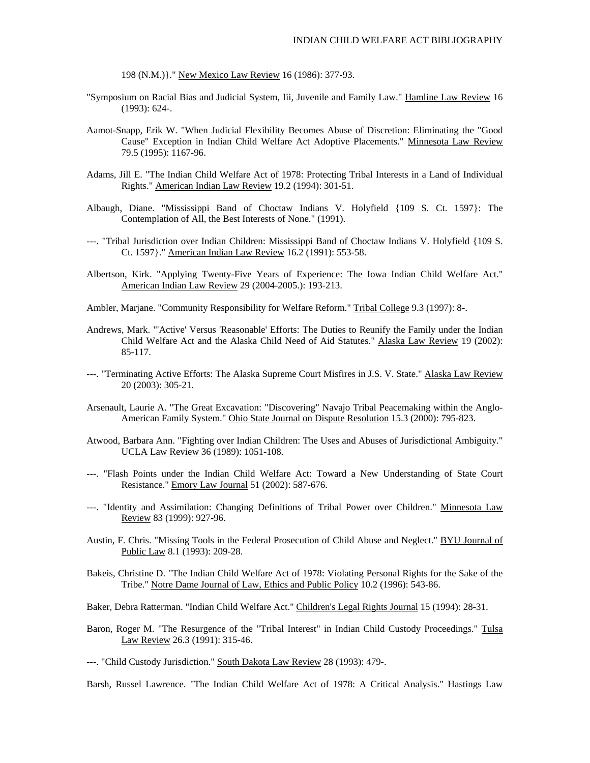198 (N.M.)}." New Mexico Law Review 16 (1986): 377-93.

- "Symposium on Racial Bias and Judicial System, Iii, Juvenile and Family Law." Hamline Law Review 16 (1993): 624-.
- Aamot-Snapp, Erik W. "When Judicial Flexibility Becomes Abuse of Discretion: Eliminating the "Good Cause" Exception in Indian Child Welfare Act Adoptive Placements." Minnesota Law Review 79.5 (1995): 1167-96.
- Adams, Jill E. "The Indian Child Welfare Act of 1978: Protecting Tribal Interests in a Land of Individual Rights." American Indian Law Review 19.2 (1994): 301-51.
- Albaugh, Diane. "Mississippi Band of Choctaw Indians V. Holyfield {109 S. Ct. 1597}: The Contemplation of All, the Best Interests of None." (1991).
- ---. "Tribal Jurisdiction over Indian Children: Mississippi Band of Choctaw Indians V. Holyfield {109 S. Ct. 1597}." American Indian Law Review 16.2 (1991): 553-58.
- Albertson, Kirk. "Applying Twenty-Five Years of Experience: The Iowa Indian Child Welfare Act." American Indian Law Review 29 (2004-2005.): 193-213.
- Ambler, Marjane. "Community Responsibility for Welfare Reform." Tribal College 9.3 (1997): 8-.
- Andrews, Mark. "'Active' Versus 'Reasonable' Efforts: The Duties to Reunify the Family under the Indian Child Welfare Act and the Alaska Child Need of Aid Statutes." Alaska Law Review 19 (2002): 85-117.
- ---. "Terminating Active Efforts: The Alaska Supreme Court Misfires in J.S. V. State." Alaska Law Review 20 (2003): 305-21.
- Arsenault, Laurie A. "The Great Excavation: "Discovering" Navajo Tribal Peacemaking within the Anglo-American Family System." Ohio State Journal on Dispute Resolution 15.3 (2000): 795-823.
- Atwood, Barbara Ann. "Fighting over Indian Children: The Uses and Abuses of Jurisdictional Ambiguity." UCLA Law Review 36 (1989): 1051-108.
- ---. "Flash Points under the Indian Child Welfare Act: Toward a New Understanding of State Court Resistance." Emory Law Journal 51 (2002): 587-676.
- ---. "Identity and Assimilation: Changing Definitions of Tribal Power over Children." Minnesota Law Review 83 (1999): 927-96.
- Austin, F. Chris. "Missing Tools in the Federal Prosecution of Child Abuse and Neglect." BYU Journal of Public Law 8.1 (1993): 209-28.
- Bakeis, Christine D. "The Indian Child Welfare Act of 1978: Violating Personal Rights for the Sake of the Tribe." Notre Dame Journal of Law, Ethics and Public Policy 10.2 (1996): 543-86.
- Baker, Debra Ratterman. "Indian Child Welfare Act." Children's Legal Rights Journal 15 (1994): 28-31.
- Baron, Roger M. "The Resurgence of the "Tribal Interest" in Indian Child Custody Proceedings." Tulsa Law Review 26.3 (1991): 315-46.
- ---. "Child Custody Jurisdiction." South Dakota Law Review 28 (1993): 479-.

Barsh, Russel Lawrence. "The Indian Child Welfare Act of 1978: A Critical Analysis." Hastings Law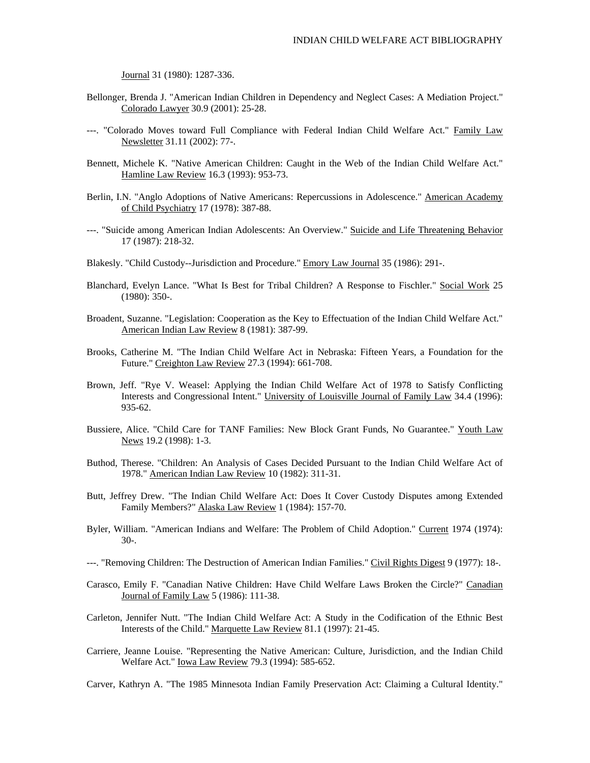Journal 31 (1980): 1287-336.

- Bellonger, Brenda J. "American Indian Children in Dependency and Neglect Cases: A Mediation Project." Colorado Lawyer 30.9 (2001): 25-28.
- ---. "Colorado Moves toward Full Compliance with Federal Indian Child Welfare Act." Family Law Newsletter 31.11 (2002): 77-.
- Bennett, Michele K. "Native American Children: Caught in the Web of the Indian Child Welfare Act." Hamline Law Review 16.3 (1993): 953-73.
- Berlin, I.N. "Anglo Adoptions of Native Americans: Repercussions in Adolescence." American Academy of Child Psychiatry 17 (1978): 387-88.
- ---. "Suicide among American Indian Adolescents: An Overview." Suicide and Life Threatening Behavior 17 (1987): 218-32.
- Blakesly. "Child Custody--Jurisdiction and Procedure." Emory Law Journal 35 (1986): 291-.
- Blanchard, Evelyn Lance. "What Is Best for Tribal Children? A Response to Fischler." Social Work 25 (1980): 350-.
- Broadent, Suzanne. "Legislation: Cooperation as the Key to Effectuation of the Indian Child Welfare Act." American Indian Law Review 8 (1981): 387-99.
- Brooks, Catherine M. "The Indian Child Welfare Act in Nebraska: Fifteen Years, a Foundation for the Future." Creighton Law Review 27.3 (1994): 661-708.
- Brown, Jeff. "Rye V. Weasel: Applying the Indian Child Welfare Act of 1978 to Satisfy Conflicting Interests and Congressional Intent." University of Louisville Journal of Family Law 34.4 (1996): 935-62.
- Bussiere, Alice. "Child Care for TANF Families: New Block Grant Funds, No Guarantee." Youth Law News 19.2 (1998): 1-3.
- Buthod, Therese. "Children: An Analysis of Cases Decided Pursuant to the Indian Child Welfare Act of 1978." American Indian Law Review 10 (1982): 311-31.
- Butt, Jeffrey Drew. "The Indian Child Welfare Act: Does It Cover Custody Disputes among Extended Family Members?" Alaska Law Review 1 (1984): 157-70.
- Byler, William. "American Indians and Welfare: The Problem of Child Adoption." Current 1974 (1974): 30-.
- ---. "Removing Children: The Destruction of American Indian Families." Civil Rights Digest 9 (1977): 18-.
- Carasco, Emily F. "Canadian Native Children: Have Child Welfare Laws Broken the Circle?" Canadian Journal of Family Law 5 (1986): 111-38.
- Carleton, Jennifer Nutt. "The Indian Child Welfare Act: A Study in the Codification of the Ethnic Best Interests of the Child." Marquette Law Review 81.1 (1997): 21-45.
- Carriere, Jeanne Louise. "Representing the Native American: Culture, Jurisdiction, and the Indian Child Welfare Act." Iowa Law Review 79.3 (1994): 585-652.

Carver, Kathryn A. "The 1985 Minnesota Indian Family Preservation Act: Claiming a Cultural Identity."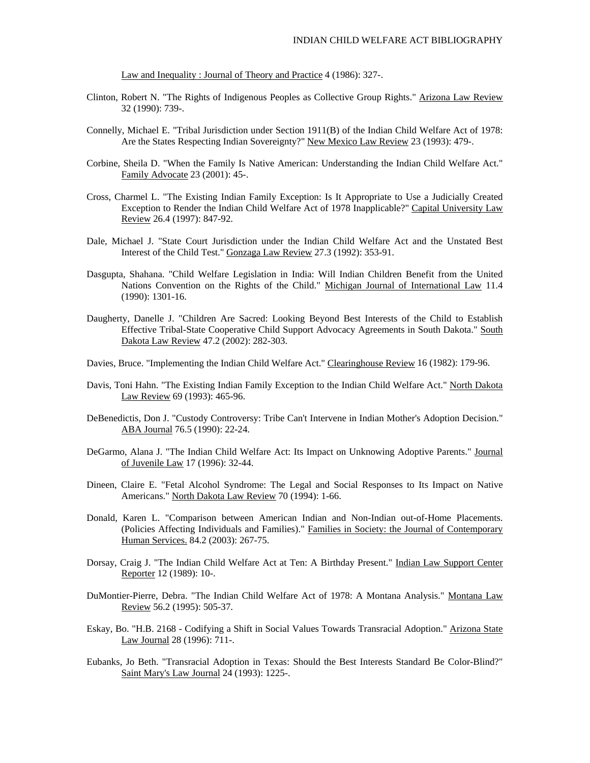Law and Inequality : Journal of Theory and Practice 4 (1986): 327-.

- Clinton, Robert N. "The Rights of Indigenous Peoples as Collective Group Rights." Arizona Law Review 32 (1990): 739-.
- Connelly, Michael E. "Tribal Jurisdiction under Section 1911(B) of the Indian Child Welfare Act of 1978: Are the States Respecting Indian Sovereignty?" New Mexico Law Review 23 (1993): 479-.
- Corbine, Sheila D. "When the Family Is Native American: Understanding the Indian Child Welfare Act." Family Advocate 23 (2001): 45-.
- Cross, Charmel L. "The Existing Indian Family Exception: Is It Appropriate to Use a Judicially Created Exception to Render the Indian Child Welfare Act of 1978 Inapplicable?" Capital University Law Review 26.4 (1997): 847-92.
- Dale, Michael J. "State Court Jurisdiction under the Indian Child Welfare Act and the Unstated Best Interest of the Child Test." Gonzaga Law Review 27.3 (1992): 353-91.
- Dasgupta, Shahana. "Child Welfare Legislation in India: Will Indian Children Benefit from the United Nations Convention on the Rights of the Child." Michigan Journal of International Law 11.4 (1990): 1301-16.
- Daugherty, Danelle J. "Children Are Sacred: Looking Beyond Best Interests of the Child to Establish Effective Tribal-State Cooperative Child Support Advocacy Agreements in South Dakota." South Dakota Law Review 47.2 (2002): 282-303.
- Davies, Bruce. "Implementing the Indian Child Welfare Act." Clearinghouse Review 16 (1982): 179-96.
- Davis, Toni Hahn. "The Existing Indian Family Exception to the Indian Child Welfare Act." North Dakota Law Review 69 (1993): 465-96.
- DeBenedictis, Don J. "Custody Controversy: Tribe Can't Intervene in Indian Mother's Adoption Decision." ABA Journal 76.5 (1990): 22-24.
- DeGarmo, Alana J. "The Indian Child Welfare Act: Its Impact on Unknowing Adoptive Parents." Journal of Juvenile Law 17 (1996): 32-44.
- Dineen, Claire E. "Fetal Alcohol Syndrome: The Legal and Social Responses to Its Impact on Native Americans." North Dakota Law Review 70 (1994): 1-66.
- Donald, Karen L. "Comparison between American Indian and Non-Indian out-of-Home Placements. (Policies Affecting Individuals and Families)." Families in Society: the Journal of Contemporary Human Services. 84.2 (2003): 267-75.
- Dorsay, Craig J. "The Indian Child Welfare Act at Ten: A Birthday Present." Indian Law Support Center Reporter 12 (1989): 10-.
- DuMontier-Pierre, Debra. "The Indian Child Welfare Act of 1978: A Montana Analysis." Montana Law Review 56.2 (1995): 505-37.
- Eskay, Bo. "H.B. 2168 Codifying a Shift in Social Values Towards Transracial Adoption." Arizona State Law Journal 28 (1996): 711-.
- Eubanks, Jo Beth. "Transracial Adoption in Texas: Should the Best Interests Standard Be Color-Blind?" Saint Mary's Law Journal 24 (1993): 1225-.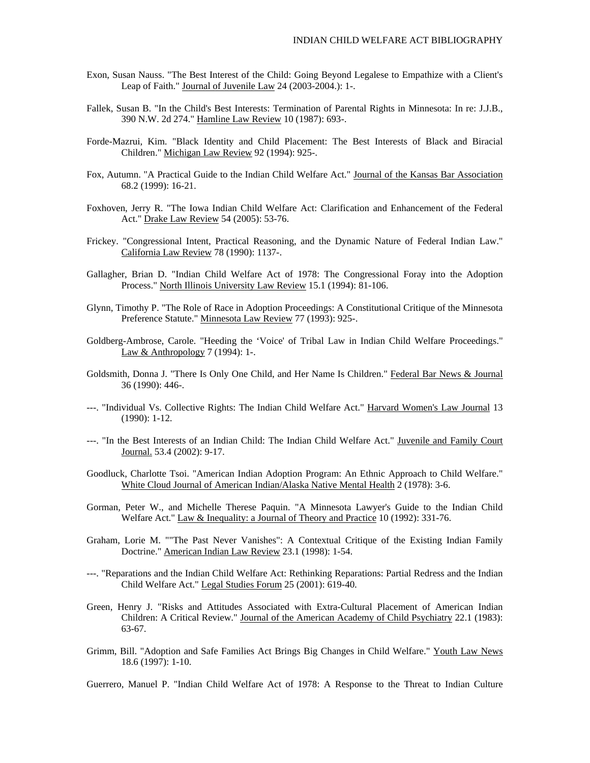- Exon, Susan Nauss. "The Best Interest of the Child: Going Beyond Legalese to Empathize with a Client's Leap of Faith." Journal of Juvenile Law 24 (2003-2004.): 1-.
- Fallek, Susan B. "In the Child's Best Interests: Termination of Parental Rights in Minnesota: In re: J.J.B., 390 N.W. 2d 274." Hamline Law Review 10 (1987): 693-.
- Forde-Mazrui, Kim. "Black Identity and Child Placement: The Best Interests of Black and Biracial Children." Michigan Law Review 92 (1994): 925-.
- Fox, Autumn. "A Practical Guide to the Indian Child Welfare Act." Journal of the Kansas Bar Association 68.2 (1999): 16-21.
- Foxhoven, Jerry R. "The Iowa Indian Child Welfare Act: Clarification and Enhancement of the Federal Act." Drake Law Review 54 (2005): 53-76.
- Frickey. "Congressional Intent, Practical Reasoning, and the Dynamic Nature of Federal Indian Law." California Law Review 78 (1990): 1137-.
- Gallagher, Brian D. "Indian Child Welfare Act of 1978: The Congressional Foray into the Adoption Process." North Illinois University Law Review 15.1 (1994): 81-106.
- Glynn, Timothy P. "The Role of Race in Adoption Proceedings: A Constitutional Critique of the Minnesota Preference Statute." Minnesota Law Review 77 (1993): 925-.
- Goldberg-Ambrose, Carole. "Heeding the 'Voice' of Tribal Law in Indian Child Welfare Proceedings." Law & Anthropology 7 (1994): 1-.
- Goldsmith, Donna J. "There Is Only One Child, and Her Name Is Children." Federal Bar News & Journal 36 (1990): 446-.
- ---. "Individual Vs. Collective Rights: The Indian Child Welfare Act." Harvard Women's Law Journal 13 (1990): 1-12.
- ---. "In the Best Interests of an Indian Child: The Indian Child Welfare Act." Juvenile and Family Court Journal. 53.4 (2002): 9-17.
- Goodluck, Charlotte Tsoi. "American Indian Adoption Program: An Ethnic Approach to Child Welfare." White Cloud Journal of American Indian/Alaska Native Mental Health 2 (1978): 3-6.
- Gorman, Peter W., and Michelle Therese Paquin. "A Minnesota Lawyer's Guide to the Indian Child Welfare Act." Law & Inequality: a Journal of Theory and Practice 10 (1992): 331-76.
- Graham, Lorie M. ""The Past Never Vanishes": A Contextual Critique of the Existing Indian Family Doctrine." American Indian Law Review 23.1 (1998): 1-54.
- ---. "Reparations and the Indian Child Welfare Act: Rethinking Reparations: Partial Redress and the Indian Child Welfare Act." Legal Studies Forum 25 (2001): 619-40.
- Green, Henry J. "Risks and Attitudes Associated with Extra-Cultural Placement of American Indian Children: A Critical Review." Journal of the American Academy of Child Psychiatry 22.1 (1983): 63-67.
- Grimm, Bill. "Adoption and Safe Families Act Brings Big Changes in Child Welfare." Youth Law News 18.6 (1997): 1-10.

Guerrero, Manuel P. "Indian Child Welfare Act of 1978: A Response to the Threat to Indian Culture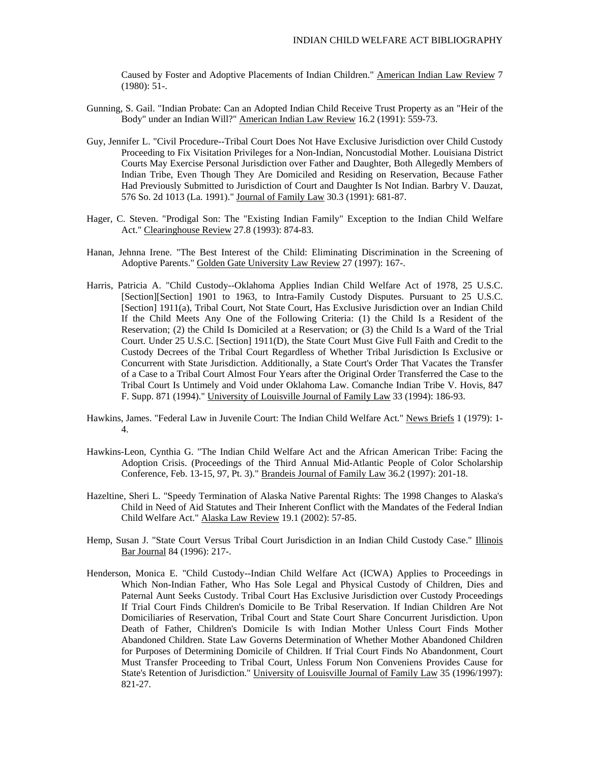Caused by Foster and Adoptive Placements of Indian Children." American Indian Law Review 7  $(1980): 51-.$ 

- Gunning, S. Gail. "Indian Probate: Can an Adopted Indian Child Receive Trust Property as an "Heir of the Body" under an Indian Will?" American Indian Law Review 16.2 (1991): 559-73.
- Guy, Jennifer L. "Civil Procedure--Tribal Court Does Not Have Exclusive Jurisdiction over Child Custody Proceeding to Fix Visitation Privileges for a Non-Indian, Noncustodial Mother. Louisiana District Courts May Exercise Personal Jurisdiction over Father and Daughter, Both Allegedly Members of Indian Tribe, Even Though They Are Domiciled and Residing on Reservation, Because Father Had Previously Submitted to Jurisdiction of Court and Daughter Is Not Indian. Barbry V. Dauzat, 576 So. 2d 1013 (La. 1991)." Journal of Family Law 30.3 (1991): 681-87.
- Hager, C. Steven. "Prodigal Son: The "Existing Indian Family" Exception to the Indian Child Welfare Act." Clearinghouse Review 27.8 (1993): 874-83.
- Hanan, Jehnna Irene. "The Best Interest of the Child: Eliminating Discrimination in the Screening of Adoptive Parents." Golden Gate University Law Review 27 (1997): 167-.
- Harris, Patricia A. "Child Custody--Oklahoma Applies Indian Child Welfare Act of 1978, 25 U.S.C. [Section][Section] 1901 to 1963, to Intra-Family Custody Disputes. Pursuant to 25 U.S.C. [Section] 1911(a), Tribal Court, Not State Court, Has Exclusive Jurisdiction over an Indian Child If the Child Meets Any One of the Following Criteria: (1) the Child Is a Resident of the Reservation; (2) the Child Is Domiciled at a Reservation; or (3) the Child Is a Ward of the Trial Court. Under 25 U.S.C. [Section] 1911(D), the State Court Must Give Full Faith and Credit to the Custody Decrees of the Tribal Court Regardless of Whether Tribal Jurisdiction Is Exclusive or Concurrent with State Jurisdiction. Additionally, a State Court's Order That Vacates the Transfer of a Case to a Tribal Court Almost Four Years after the Original Order Transferred the Case to the Tribal Court Is Untimely and Void under Oklahoma Law. Comanche Indian Tribe V. Hovis, 847 F. Supp. 871 (1994)." University of Louisville Journal of Family Law 33 (1994): 186-93.
- Hawkins, James. "Federal Law in Juvenile Court: The Indian Child Welfare Act." News Briefs 1 (1979): 1-4.
- Hawkins-Leon, Cynthia G. "The Indian Child Welfare Act and the African American Tribe: Facing the Adoption Crisis. (Proceedings of the Third Annual Mid-Atlantic People of Color Scholarship Conference, Feb. 13-15, 97, Pt. 3)." Brandeis Journal of Family Law 36.2 (1997): 201-18.
- Hazeltine, Sheri L. "Speedy Termination of Alaska Native Parental Rights: The 1998 Changes to Alaska's Child in Need of Aid Statutes and Their Inherent Conflict with the Mandates of the Federal Indian Child Welfare Act." Alaska Law Review 19.1 (2002): 57-85.
- Hemp, Susan J. "State Court Versus Tribal Court Jurisdiction in an Indian Child Custody Case." Illinois Bar Journal 84 (1996): 217-.
- Henderson, Monica E. "Child Custody--Indian Child Welfare Act (ICWA) Applies to Proceedings in Which Non-Indian Father, Who Has Sole Legal and Physical Custody of Children, Dies and Paternal Aunt Seeks Custody. Tribal Court Has Exclusive Jurisdiction over Custody Proceedings If Trial Court Finds Children's Domicile to Be Tribal Reservation. If Indian Children Are Not Domiciliaries of Reservation, Tribal Court and State Court Share Concurrent Jurisdiction. Upon Death of Father, Children's Domicile Is with Indian Mother Unless Court Finds Mother Abandoned Children. State Law Governs Determination of Whether Mother Abandoned Children for Purposes of Determining Domicile of Children. If Trial Court Finds No Abandonment, Court Must Transfer Proceeding to Tribal Court, Unless Forum Non Conveniens Provides Cause for State's Retention of Jurisdiction." University of Louisville Journal of Family Law 35 (1996/1997): 821-27.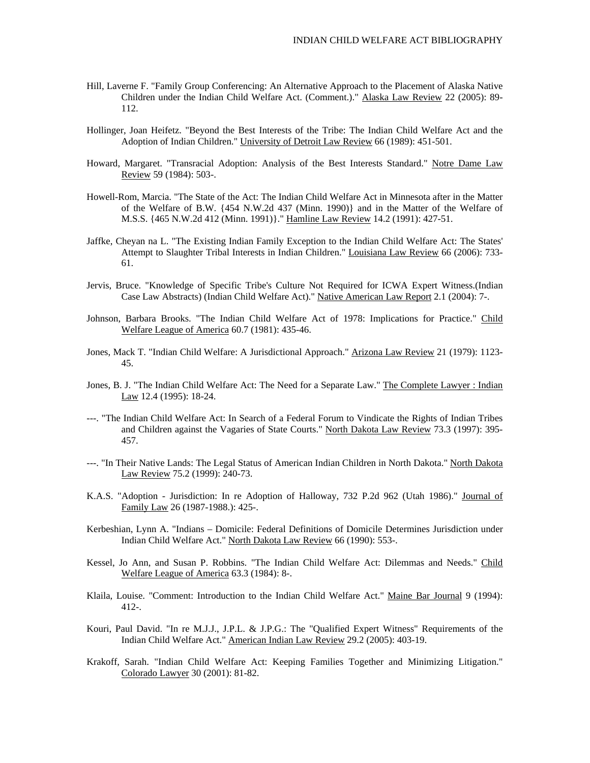- Hill, Laverne F. "Family Group Conferencing: An Alternative Approach to the Placement of Alaska Native Children under the Indian Child Welfare Act. (Comment.)." Alaska Law Review 22 (2005): 89- 112.
- Hollinger, Joan Heifetz. "Beyond the Best Interests of the Tribe: The Indian Child Welfare Act and the Adoption of Indian Children." University of Detroit Law Review 66 (1989): 451-501.
- Howard, Margaret. "Transracial Adoption: Analysis of the Best Interests Standard." Notre Dame Law Review 59 (1984): 503-.
- Howell-Rom, Marcia. "The State of the Act: The Indian Child Welfare Act in Minnesota after in the Matter of the Welfare of B.W. {454 N.W.2d 437 (Minn. 1990)} and in the Matter of the Welfare of M.S.S. {465 N.W.2d 412 (Minn. 1991)}." Hamline Law Review 14.2 (1991): 427-51.
- Jaffke, Cheyan na L. "The Existing Indian Family Exception to the Indian Child Welfare Act: The States' Attempt to Slaughter Tribal Interests in Indian Children." Louisiana Law Review 66 (2006): 733- 61.
- Jervis, Bruce. "Knowledge of Specific Tribe's Culture Not Required for ICWA Expert Witness.(Indian Case Law Abstracts) (Indian Child Welfare Act)." Native American Law Report 2.1 (2004): 7-.
- Johnson, Barbara Brooks. "The Indian Child Welfare Act of 1978: Implications for Practice." Child Welfare League of America 60.7 (1981): 435-46.
- Jones, Mack T. "Indian Child Welfare: A Jurisdictional Approach." Arizona Law Review 21 (1979): 1123- 45.
- Jones, B. J. "The Indian Child Welfare Act: The Need for a Separate Law." The Complete Lawyer : Indian Law 12.4 (1995): 18-24.
- ---. "The Indian Child Welfare Act: In Search of a Federal Forum to Vindicate the Rights of Indian Tribes and Children against the Vagaries of State Courts." North Dakota Law Review 73.3 (1997): 395-457.
- ---. "In Their Native Lands: The Legal Status of American Indian Children in North Dakota." North Dakota Law Review 75.2 (1999): 240-73.
- K.A.S. "Adoption Jurisdiction: In re Adoption of Halloway, 732 P.2d 962 (Utah 1986)." Journal of Family Law 26 (1987-1988.): 425-.
- Kerbeshian, Lynn A. "Indians Domicile: Federal Definitions of Domicile Determines Jurisdiction under Indian Child Welfare Act." North Dakota Law Review 66 (1990): 553-.
- Kessel, Jo Ann, and Susan P. Robbins. "The Indian Child Welfare Act: Dilemmas and Needs." Child Welfare League of America 63.3 (1984): 8-.
- Klaila, Louise. "Comment: Introduction to the Indian Child Welfare Act." Maine Bar Journal 9 (1994): 412-.
- Kouri, Paul David. "In re M.J.J., J.P.L. & J.P.G.: The "Qualified Expert Witness" Requirements of the Indian Child Welfare Act." American Indian Law Review 29.2 (2005): 403-19.
- Krakoff, Sarah. "Indian Child Welfare Act: Keeping Families Together and Minimizing Litigation." Colorado Lawyer 30 (2001): 81-82.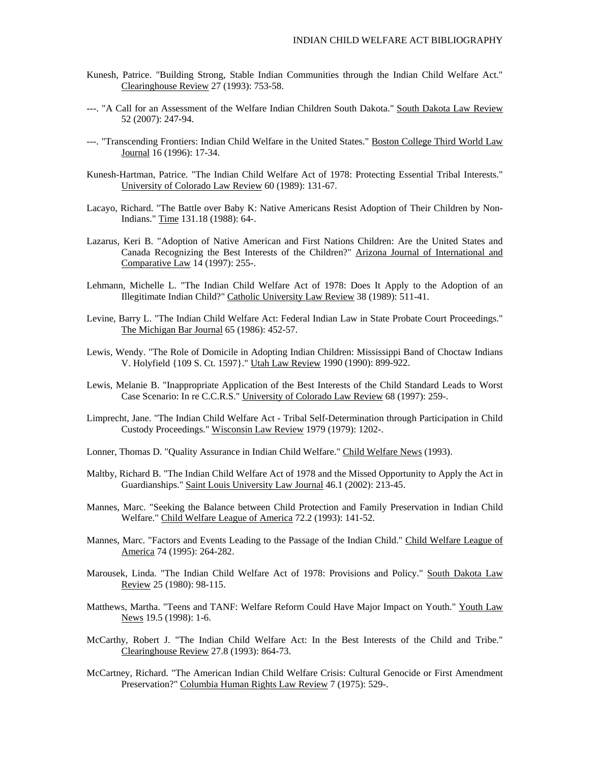- Kunesh, Patrice. "Building Strong, Stable Indian Communities through the Indian Child Welfare Act." Clearinghouse Review 27 (1993): 753-58.
- ---. "A Call for an Assessment of the Welfare Indian Children South Dakota." South Dakota Law Review 52 (2007): 247-94.
- ---. "Transcending Frontiers: Indian Child Welfare in the United States." Boston College Third World Law Journal 16 (1996): 17-34.
- Kunesh-Hartman, Patrice. "The Indian Child Welfare Act of 1978: Protecting Essential Tribal Interests." University of Colorado Law Review 60 (1989): 131-67.
- Lacayo, Richard. "The Battle over Baby K: Native Americans Resist Adoption of Their Children by Non-Indians." Time 131.18 (1988): 64-.
- Lazarus, Keri B. "Adoption of Native American and First Nations Children: Are the United States and Canada Recognizing the Best Interests of the Children?" Arizona Journal of International and Comparative Law 14 (1997): 255-.
- Lehmann, Michelle L. "The Indian Child Welfare Act of 1978: Does It Apply to the Adoption of an Illegitimate Indian Child?" Catholic University Law Review 38 (1989): 511-41.
- Levine, Barry L. "The Indian Child Welfare Act: Federal Indian Law in State Probate Court Proceedings." The Michigan Bar Journal 65 (1986): 452-57.
- Lewis, Wendy. "The Role of Domicile in Adopting Indian Children: Mississippi Band of Choctaw Indians V. Holyfield {109 S. Ct. 1597}." Utah Law Review 1990 (1990): 899-922.
- Lewis, Melanie B. "Inappropriate Application of the Best Interests of the Child Standard Leads to Worst Case Scenario: In re C.C.R.S." University of Colorado Law Review 68 (1997): 259-.
- Limprecht, Jane. "The Indian Child Welfare Act Tribal Self-Determination through Participation in Child Custody Proceedings." Wisconsin Law Review 1979 (1979): 1202-.
- Lonner, Thomas D. "Quality Assurance in Indian Child Welfare." Child Welfare News (1993).
- Maltby, Richard B. "The Indian Child Welfare Act of 1978 and the Missed Opportunity to Apply the Act in Guardianships." Saint Louis University Law Journal 46.1 (2002): 213-45.
- Mannes, Marc. "Seeking the Balance between Child Protection and Family Preservation in Indian Child Welfare." Child Welfare League of America 72.2 (1993): 141-52.
- Mannes, Marc. "Factors and Events Leading to the Passage of the Indian Child." Child Welfare League of America 74 (1995): 264-282.
- Marousek, Linda. "The Indian Child Welfare Act of 1978: Provisions and Policy." South Dakota Law Review 25 (1980): 98-115.
- Matthews, Martha. "Teens and TANF: Welfare Reform Could Have Major Impact on Youth." Youth Law News 19.5 (1998): 1-6.
- McCarthy, Robert J. "The Indian Child Welfare Act: In the Best Interests of the Child and Tribe." Clearinghouse Review 27.8 (1993): 864-73.
- McCartney, Richard. "The American Indian Child Welfare Crisis: Cultural Genocide or First Amendment Preservation?" Columbia Human Rights Law Review 7 (1975): 529-.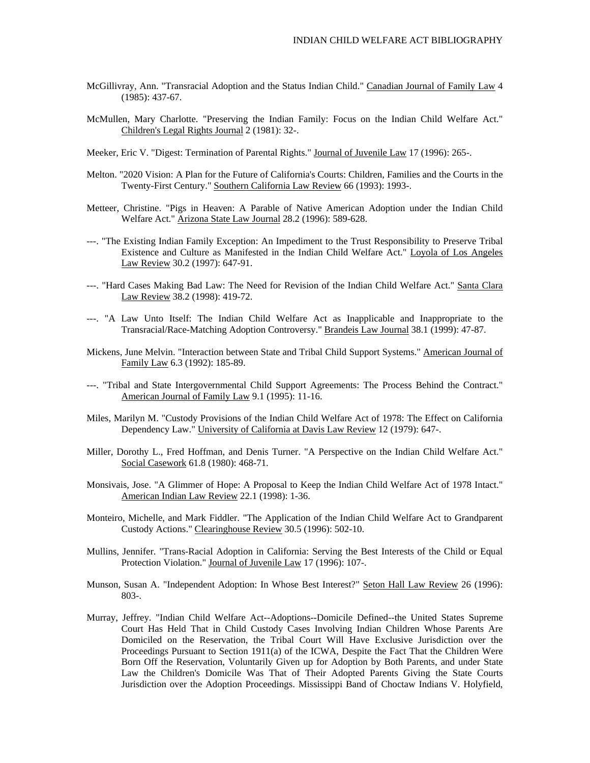- McGillivray, Ann. "Transracial Adoption and the Status Indian Child." Canadian Journal of Family Law 4 (1985): 437-67.
- McMullen, Mary Charlotte. "Preserving the Indian Family: Focus on the Indian Child Welfare Act." Children's Legal Rights Journal 2 (1981): 32-.
- Meeker, Eric V. "Digest: Termination of Parental Rights." Journal of Juvenile Law 17 (1996): 265-.
- Melton. "2020 Vision: A Plan for the Future of California's Courts: Children, Families and the Courts in the Twenty-First Century." Southern California Law Review 66 (1993): 1993-.
- Metteer, Christine. "Pigs in Heaven: A Parable of Native American Adoption under the Indian Child Welfare Act." Arizona State Law Journal 28.2 (1996): 589-628.
- ---. "The Existing Indian Family Exception: An Impediment to the Trust Responsibility to Preserve Tribal Existence and Culture as Manifested in the Indian Child Welfare Act." Loyola of Los Angeles Law Review 30.2 (1997): 647-91.
- ---. "Hard Cases Making Bad Law: The Need for Revision of the Indian Child Welfare Act." Santa Clara Law Review 38.2 (1998): 419-72.
- ---. "A Law Unto Itself: The Indian Child Welfare Act as Inapplicable and Inappropriate to the Transracial/Race-Matching Adoption Controversy." Brandeis Law Journal 38.1 (1999): 47-87.
- Mickens, June Melvin. "Interaction between State and Tribal Child Support Systems." American Journal of Family Law 6.3 (1992): 185-89.
- ---. "Tribal and State Intergovernmental Child Support Agreements: The Process Behind the Contract." American Journal of Family Law 9.1 (1995): 11-16.
- Miles, Marilyn M. "Custody Provisions of the Indian Child Welfare Act of 1978: The Effect on California Dependency Law." University of California at Davis Law Review 12 (1979): 647-.
- Miller, Dorothy L., Fred Hoffman, and Denis Turner. "A Perspective on the Indian Child Welfare Act." Social Casework 61.8 (1980): 468-71.
- Monsivais, Jose. "A Glimmer of Hope: A Proposal to Keep the Indian Child Welfare Act of 1978 Intact." American Indian Law Review 22.1 (1998): 1-36.
- Monteiro, Michelle, and Mark Fiddler. "The Application of the Indian Child Welfare Act to Grandparent Custody Actions." Clearinghouse Review 30.5 (1996): 502-10.
- Mullins, Jennifer. "Trans-Racial Adoption in California: Serving the Best Interests of the Child or Equal Protection Violation." Journal of Juvenile Law 17 (1996): 107-.
- Munson, Susan A. "Independent Adoption: In Whose Best Interest?" Seton Hall Law Review 26 (1996): 803-.
- Murray, Jeffrey. "Indian Child Welfare Act--Adoptions--Domicile Defined--the United States Supreme Court Has Held That in Child Custody Cases Involving Indian Children Whose Parents Are Domiciled on the Reservation, the Tribal Court Will Have Exclusive Jurisdiction over the Proceedings Pursuant to Section 1911(a) of the ICWA, Despite the Fact That the Children Were Born Off the Reservation, Voluntarily Given up for Adoption by Both Parents, and under State Law the Children's Domicile Was That of Their Adopted Parents Giving the State Courts Jurisdiction over the Adoption Proceedings. Mississippi Band of Choctaw Indians V. Holyfield,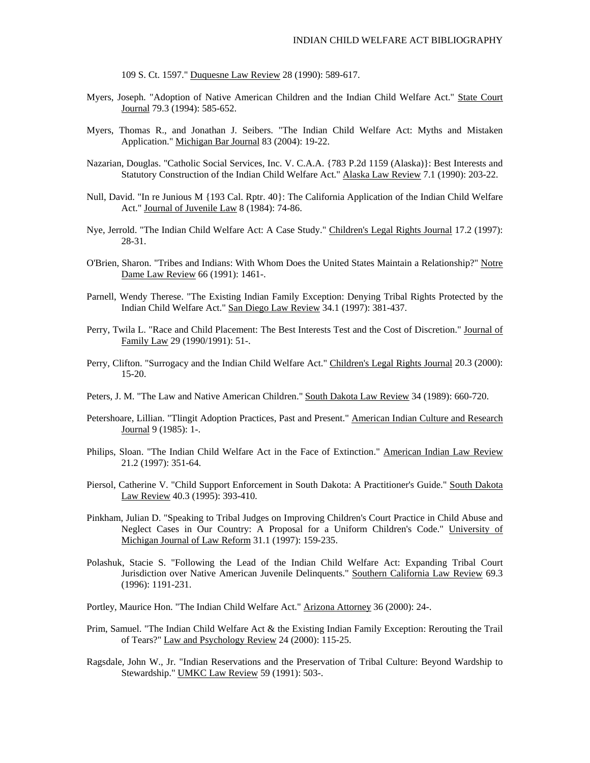109 S. Ct. 1597." Duquesne Law Review 28 (1990): 589-617.

- Myers, Joseph. "Adoption of Native American Children and the Indian Child Welfare Act." State Court Journal 79.3 (1994): 585-652.
- Myers, Thomas R., and Jonathan J. Seibers. "The Indian Child Welfare Act: Myths and Mistaken Application." Michigan Bar Journal 83 (2004): 19-22.
- Nazarian, Douglas. "Catholic Social Services, Inc. V. C.A.A. {783 P.2d 1159 (Alaska)}: Best Interests and Statutory Construction of the Indian Child Welfare Act." Alaska Law Review 7.1 (1990): 203-22.
- Null, David. "In re Junious M {193 Cal. Rptr. 40}: The California Application of the Indian Child Welfare Act." Journal of Juvenile Law 8 (1984): 74-86.
- Nye, Jerrold. "The Indian Child Welfare Act: A Case Study." Children's Legal Rights Journal 17.2 (1997): 28-31.
- O'Brien, Sharon. "Tribes and Indians: With Whom Does the United States Maintain a Relationship?" Notre Dame Law Review 66 (1991): 1461-.
- Parnell, Wendy Therese. "The Existing Indian Family Exception: Denying Tribal Rights Protected by the Indian Child Welfare Act." San Diego Law Review 34.1 (1997): 381-437.
- Perry, Twila L. "Race and Child Placement: The Best Interests Test and the Cost of Discretion." Journal of Family Law 29 (1990/1991): 51-.
- Perry, Clifton. "Surrogacy and the Indian Child Welfare Act." Children's Legal Rights Journal 20.3 (2000): 15-20.
- Peters, J. M. "The Law and Native American Children." South Dakota Law Review 34 (1989): 660-720.
- Petershoare, Lillian. "Tlingit Adoption Practices, Past and Present." American Indian Culture and Research Journal 9 (1985): 1-.
- Philips, Sloan. "The Indian Child Welfare Act in the Face of Extinction." American Indian Law Review 21.2 (1997): 351-64.
- Piersol, Catherine V. "Child Support Enforcement in South Dakota: A Practitioner's Guide." South Dakota Law Review 40.3 (1995): 393-410.
- Pinkham, Julian D. "Speaking to Tribal Judges on Improving Children's Court Practice in Child Abuse and Neglect Cases in Our Country: A Proposal for a Uniform Children's Code." University of Michigan Journal of Law Reform 31.1 (1997): 159-235.
- Polashuk, Stacie S. "Following the Lead of the Indian Child Welfare Act: Expanding Tribal Court Jurisdiction over Native American Juvenile Delinquents." Southern California Law Review 69.3 (1996): 1191-231.
- Portley, Maurice Hon. "The Indian Child Welfare Act." Arizona Attorney 36 (2000): 24-.
- Prim, Samuel. "The Indian Child Welfare Act & the Existing Indian Family Exception: Rerouting the Trail of Tears?" Law and Psychology Review 24 (2000): 115-25.
- Ragsdale, John W., Jr. "Indian Reservations and the Preservation of Tribal Culture: Beyond Wardship to Stewardship." UMKC Law Review 59 (1991): 503-.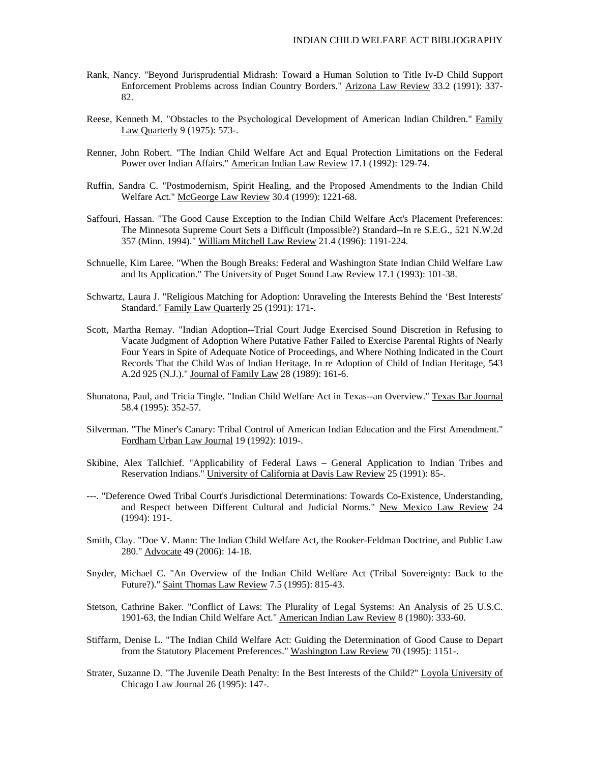- Rank, Nancy. "Beyond Jurisprudential Midrash: Toward a Human Solution to Title Iv-D Child Support Enforcement Problems across Indian Country Borders." Arizona Law Review 33.2 (1991): 337- 82.
- Reese, Kenneth M. "Obstacles to the Psychological Development of American Indian Children." Family Law Quarterly 9 (1975): 573-.
- Renner, John Robert. "The Indian Child Welfare Act and Equal Protection Limitations on the Federal Power over Indian Affairs." American Indian Law Review 17.1 (1992): 129-74.
- Ruffin, Sandra C. "Postmodernism, Spirit Healing, and the Proposed Amendments to the Indian Child Welfare Act." McGeorge Law Review 30.4 (1999): 1221-68.
- Saffouri, Hassan. "The Good Cause Exception to the Indian Child Welfare Act's Placement Preferences: The Minnesota Supreme Court Sets a Difficult (Impossible?) Standard--In re S.E.G., 521 N.W.2d 357 (Minn. 1994)." William Mitchell Law Review 21.4 (1996): 1191-224.
- Schnuelle, Kim Laree. "When the Bough Breaks: Federal and Washington State Indian Child Welfare Law and Its Application." The University of Puget Sound Law Review 17.1 (1993): 101-38.
- Schwartz, Laura J. "Religious Matching for Adoption: Unraveling the Interests Behind the 'Best Interests' Standard." Family Law Quarterly 25 (1991): 171-.
- Scott, Martha Remay. "Indian Adoption--Trial Court Judge Exercised Sound Discretion in Refusing to Vacate Judgment of Adoption Where Putative Father Failed to Exercise Parental Rights of Nearly Four Years in Spite of Adequate Notice of Proceedings, and Where Nothing Indicated in the Court Records That the Child Was of Indian Heritage. In re Adoption of Child of Indian Heritage, 543 A.2d 925 (N.J.)." Journal of Family Law 28 (1989): 161-6.
- Shunatona, Paul, and Tricia Tingle. "Indian Child Welfare Act in Texas--an Overview." Texas Bar Journal 58.4 (1995): 352-57.
- Silverman. "The Miner's Canary: Tribal Control of American Indian Education and the First Amendment." Fordham Urban Law Journal 19 (1992): 1019-.
- Skibine, Alex Tallchief. "Applicability of Federal Laws General Application to Indian Tribes and Reservation Indians." University of California at Davis Law Review 25 (1991): 85-.
- ---. "Deference Owed Tribal Court's Jurisdictional Determinations: Towards Co-Existence, Understanding, and Respect between Different Cultural and Judicial Norms." New Mexico Law Review 24 (1994): 191-.
- Smith, Clay. "Doe V. Mann: The Indian Child Welfare Act, the Rooker-Feldman Doctrine, and Public Law 280." Advocate 49 (2006): 14-18.
- Snyder, Michael C. "An Overview of the Indian Child Welfare Act (Tribal Sovereignty: Back to the Future?)." Saint Thomas Law Review 7.5 (1995): 815-43.
- Stetson, Cathrine Baker. "Conflict of Laws: The Plurality of Legal Systems: An Analysis of 25 U.S.C. 1901-63, the Indian Child Welfare Act." American Indian Law Review 8 (1980): 333-60.
- Stiffarm, Denise L. "The Indian Child Welfare Act: Guiding the Determination of Good Cause to Depart from the Statutory Placement Preferences." Washington Law Review 70 (1995): 1151-.
- Strater, Suzanne D. "The Juvenile Death Penalty: In the Best Interests of the Child?" Loyola University of Chicago Law Journal 26 (1995): 147-.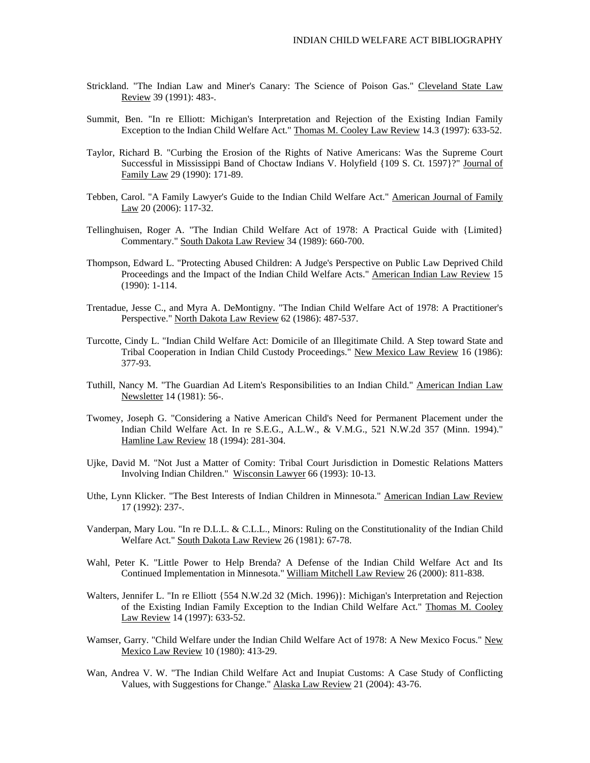- Strickland. "The Indian Law and Miner's Canary: The Science of Poison Gas." Cleveland State Law Review 39 (1991): 483-.
- Summit, Ben. "In re Elliott: Michigan's Interpretation and Rejection of the Existing Indian Family Exception to the Indian Child Welfare Act." Thomas M. Cooley Law Review 14.3 (1997): 633-52.
- Taylor, Richard B. "Curbing the Erosion of the Rights of Native Americans: Was the Supreme Court Successful in Mississippi Band of Choctaw Indians V. Holyfield {109 S. Ct. 1597}?" Journal of Family Law 29 (1990): 171-89.
- Tebben, Carol. "A Family Lawyer's Guide to the Indian Child Welfare Act." American Journal of Family Law 20 (2006): 117-32.
- Tellinghuisen, Roger A. "The Indian Child Welfare Act of 1978: A Practical Guide with {Limited} Commentary." South Dakota Law Review 34 (1989): 660-700.
- Thompson, Edward L. "Protecting Abused Children: A Judge's Perspective on Public Law Deprived Child Proceedings and the Impact of the Indian Child Welfare Acts." American Indian Law Review 15 (1990): 1-114.
- Trentadue, Jesse C., and Myra A. DeMontigny. "The Indian Child Welfare Act of 1978: A Practitioner's Perspective." North Dakota Law Review 62 (1986): 487-537.
- Turcotte, Cindy L. "Indian Child Welfare Act: Domicile of an Illegitimate Child. A Step toward State and Tribal Cooperation in Indian Child Custody Proceedings." New Mexico Law Review 16 (1986): 377-93.
- Tuthill, Nancy M. "The Guardian Ad Litem's Responsibilities to an Indian Child." American Indian Law Newsletter 14 (1981): 56-.
- Twomey, Joseph G. "Considering a Native American Child's Need for Permanent Placement under the Indian Child Welfare Act. In re S.E.G., A.L.W., & V.M.G., 521 N.W.2d 357 (Minn. 1994)." Hamline Law Review 18 (1994): 281-304.
- Ujke, David M. "Not Just a Matter of Comity: Tribal Court Jurisdiction in Domestic Relations Matters Involving Indian Children." Wisconsin Lawyer 66 (1993): 10-13.
- Uthe, Lynn Klicker. "The Best Interests of Indian Children in Minnesota." American Indian Law Review 17 (1992): 237-.
- Vanderpan, Mary Lou. "In re D.L.L. & C.L.L., Minors: Ruling on the Constitutionality of the Indian Child Welfare Act." South Dakota Law Review 26 (1981): 67-78.
- Wahl, Peter K. "Little Power to Help Brenda? A Defense of the Indian Child Welfare Act and Its Continued Implementation in Minnesota." William Mitchell Law Review 26 (2000): 811-838.
- Walters, Jennifer L. "In re Elliott {554 N.W.2d 32 (Mich. 1996)}: Michigan's Interpretation and Rejection of the Existing Indian Family Exception to the Indian Child Welfare Act." Thomas M. Cooley Law Review 14 (1997): 633-52.
- Wamser, Garry. "Child Welfare under the Indian Child Welfare Act of 1978: A New Mexico Focus." New Mexico Law Review 10 (1980): 413-29.
- Wan, Andrea V. W. "The Indian Child Welfare Act and Inupiat Customs: A Case Study of Conflicting Values, with Suggestions for Change." Alaska Law Review 21 (2004): 43-76.